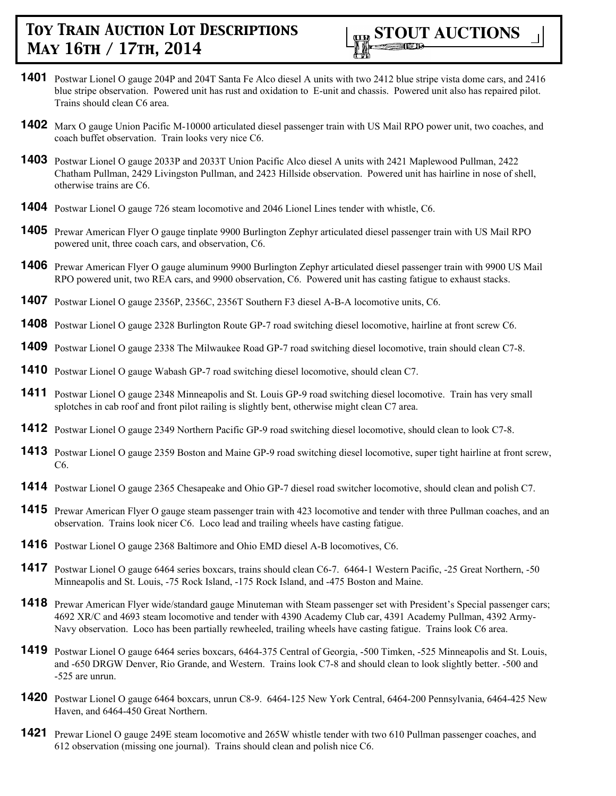

- **1401** Postwar Lionel O gauge 204P and 204T Santa Fe Alco diesel A units with two 2412 blue stripe vista dome cars, and 2416 blue stripe observation. Powered unit has rust and oxidation to E-unit and chassis. Powered unit also has repaired pilot. Trains should clean C6 area.
- **1402** Marx O gauge Union Pacific M-10000 articulated diesel passenger train with US Mail RPO power unit, two coaches, and coach buffet observation. Train looks very nice C6.
- **1403** Postwar Lionel O gauge 2033P and 2033T Union Pacific Alco diesel A units with 2421 Maplewood Pullman, 2422 Chatham Pullman, 2429 Livingston Pullman, and 2423 Hillside observation. Powered unit has hairline in nose of shell, otherwise trains are C6.
- **1404** Postwar Lionel O gauge 726 steam locomotive and 2046 Lionel Lines tender with whistle, C6.
- **1405** Prewar American Flyer O gauge tinplate 9900 Burlington Zephyr articulated diesel passenger train with US Mail RPO powered unit, three coach cars, and observation, C6.
- **1406** Prewar American Flyer O gauge aluminum 9900 Burlington Zephyr articulated diesel passenger train with 9900 US Mail RPO powered unit, two REA cars, and 9900 observation, C6. Powered unit has casting fatigue to exhaust stacks.
- **1407** Postwar Lionel O gauge 2356P, 2356C, 2356T Southern F3 diesel A-B-A locomotive units, C6.
- **1408** Postwar Lionel O gauge 2328 Burlington Route GP-7 road switching diesel locomotive, hairline at front screw C6.
- **1409** Postwar Lionel O gauge 2338 The Milwaukee Road GP-7 road switching diesel locomotive, train should clean C7-8.
- **1410** Postwar Lionel O gauge Wabash GP-7 road switching diesel locomotive, should clean C7.
- **1411** Postwar Lionel O gauge 2348 Minneapolis and St. Louis GP-9 road switching diesel locomotive. Train has very small splotches in cab roof and front pilot railing is slightly bent, otherwise might clean C7 area.
- **1412** Postwar Lionel O gauge 2349 Northern Pacific GP-9 road switching diesel locomotive, should clean to look C7-8.
- **1413** Postwar Lionel O gauge 2359 Boston and Maine GP-9 road switching diesel locomotive, super tight hairline at front screw, C6.
- **1414** Postwar Lionel O gauge 2365 Chesapeake and Ohio GP-7 diesel road switcher locomotive, should clean and polish C7.
- **1415** Prewar American Flyer O gauge steam passenger train with 423 locomotive and tender with three Pullman coaches, and an observation. Trains look nicer C6. Loco lead and trailing wheels have casting fatigue.
- **1416** Postwar Lionel O gauge 2368 Baltimore and Ohio EMD diesel A-B locomotives, C6.
- **1417** Postwar Lionel O gauge 6464 series boxcars, trains should clean C6-7. 6464-1 Western Pacific, -25 Great Northern, -50 Minneapolis and St. Louis, -75 Rock Island, -175 Rock Island, and -475 Boston and Maine.
- 1418 Prewar American Flyer wide/standard gauge Minuteman with Steam passenger set with President's Special passenger cars; 4692 XR/C and 4693 steam locomotive and tender with 4390 Academy Club car, 4391 Academy Pullman, 4392 Army-Navy observation. Loco has been partially rewheeled, trailing wheels have casting fatigue. Trains look C6 area.
- **1419** Postwar Lionel O gauge 6464 series boxcars, 6464-375 Central of Georgia, -500 Timken, -525 Minneapolis and St. Louis, and -650 DRGW Denver, Rio Grande, and Western. Trains look C7-8 and should clean to look slightly better. -500 and -525 are unrun.
- **1420** Postwar Lionel O gauge 6464 boxcars, unrun C8-9. 6464-125 New York Central, 6464-200 Pennsylvania, 6464-425 New Haven, and 6464-450 Great Northern.
- **1421** Prewar Lionel O gauge 249E steam locomotive and 265W whistle tender with two 610 Pullman passenger coaches, and 612 observation (missing one journal). Trains should clean and polish nice C6.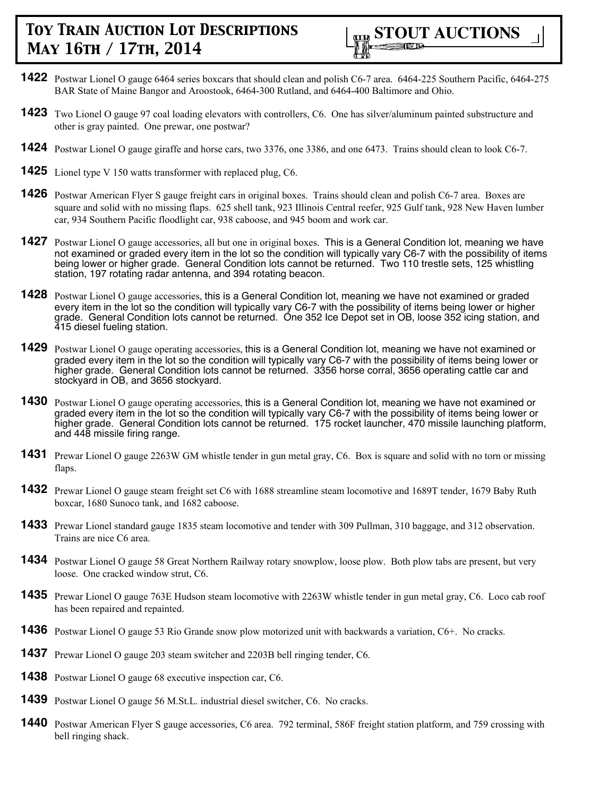

- **1422** Postwar Lionel O gauge 6464 series boxcars that should clean and polish C6-7 area. 6464-225 Southern Pacific, 6464-275 BAR State of Maine Bangor and Aroostook, 6464-300 Rutland, and 6464-400 Baltimore and Ohio.
- **1423** Two Lionel O gauge 97 coal loading elevators with controllers, C6. One has silver/aluminum painted substructure and other is gray painted. One prewar, one postwar?
- **1424** Postwar Lionel O gauge giraffe and horse cars, two 3376, one 3386, and one 6473. Trains should clean to look C6-7.
- **1425** Lionel type V 150 watts transformer with replaced plug, C6.
- **1426** Postwar American Flyer S gauge freight cars in original boxes. Trains should clean and polish C6-7 area. Boxes are square and solid with no missing flaps. 625 shell tank, 923 Illinois Central reefer, 925 Gulf tank, 928 New Haven lumber car, 934 Southern Pacific floodlight car, 938 caboose, and 945 boom and work car.
- **1427** Postwar Lionel O gauge accessories, all but one in original boxes. This is a General Condition lot, meaning we have not examined or graded every item in the lot so the condition will typically vary C6-7 with the possibility of items being lower or higher grade. General Condition lots cannot be returned. Two 110 trestle sets, 125 whistling station, 197 rotating radar antenna, and 394 rotating beacon.
- **1428** Postwar Lionel O gauge accessories, this is a General Condition lot, meaning we have not examined or graded every item in the lot so the condition will typically vary C6-7 with the possibility of items being lower or higher grade. General Condition lots cannot be returned. One 352 Ice Depot set in OB, loose 352 icing station, and 415 diesel fueling station.
- **1429** Postwar Lionel O gauge operating accessories, this is a General Condition lot, meaning we have not examined or graded every item in the lot so the condition will typically vary C6-7 with the possibility of items being lower or higher grade. General Condition lots cannot be returned. 3356 horse corral, 3656 operating cattle car and stockyard in OB, and 3656 stockyard.
- **1430** Postwar Lionel O gauge operating accessories, this is a General Condition lot, meaning we have not examined or graded every item in the lot so the condition will typically vary C6-7 with the possibility of items being lower or higher grade. General Condition lots cannot be returned. 175 rocket launcher, 470 missile launching platform, and 448 missile firing range.
- **1431** Prewar Lionel O gauge 2263W GM whistle tender in gun metal gray, C6. Box is square and solid with no torn or missing flaps.
- **1432** Prewar Lionel O gauge steam freight set C6 with 1688 streamline steam locomotive and 1689T tender, 1679 Baby Ruth boxcar, 1680 Sunoco tank, and 1682 caboose.
- **1433** Prewar Lionel standard gauge 1835 steam locomotive and tender with 309 Pullman, 310 baggage, and 312 observation. Trains are nice C6 area.
- **1434** Postwar Lionel O gauge 58 Great Northern Railway rotary snowplow, loose plow. Both plow tabs are present, but very loose. One cracked window strut, C6.
- **1435** Prewar Lionel O gauge 763E Hudson steam locomotive with 2263W whistle tender in gun metal gray, C6. Loco cab roof has been repaired and repainted.
- **1436** Postwar Lionel O gauge 53 Rio Grande snow plow motorized unit with backwards a variation, C6+. No cracks.
- **1437** Prewar Lionel O gauge 203 steam switcher and 2203B bell ringing tender, C6.
- **1438** Postwar Lionel O gauge 68 executive inspection car, C6.
- **1439** Postwar Lionel O gauge 56 M.St.L. industrial diesel switcher, C6. No cracks.
- **1440** Postwar American Flyer S gauge accessories, C6 area. 792 terminal, 586F freight station platform, and 759 crossing with bell ringing shack.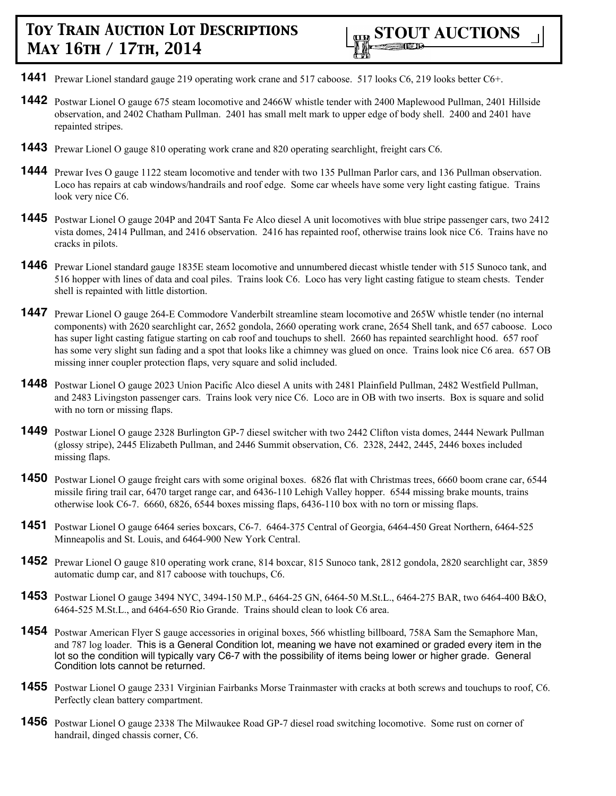

- **1441** Prewar Lionel standard gauge 219 operating work crane and 517 caboose. 517 looks C6, 219 looks better C6+.
- **1442** Postwar Lionel O gauge 675 steam locomotive and 2466W whistle tender with 2400 Maplewood Pullman, 2401 Hillside observation, and 2402 Chatham Pullman. 2401 has small melt mark to upper edge of body shell. 2400 and 2401 have repainted stripes.
- **1443** Prewar Lionel O gauge 810 operating work crane and 820 operating searchlight, freight cars C6.
- **1444** Prewar Ives O gauge 1122 steam locomotive and tender with two 135 Pullman Parlor cars, and 136 Pullman observation. Loco has repairs at cab windows/handrails and roof edge. Some car wheels have some very light casting fatigue. Trains look very nice C6.
- **1445** Postwar Lionel O gauge 204P and 204T Santa Fe Alco diesel A unit locomotives with blue stripe passenger cars, two 2412 vista domes, 2414 Pullman, and 2416 observation. 2416 has repainted roof, otherwise trains look nice C6. Trains have no cracks in pilots.
- **1446** Prewar Lionel standard gauge 1835E steam locomotive and unnumbered diecast whistle tender with 515 Sunoco tank, and 516 hopper with lines of data and coal piles. Trains look C6. Loco has very light casting fatigue to steam chests. Tender shell is repainted with little distortion.
- **1447** Prewar Lionel O gauge 264-E Commodore Vanderbilt streamline steam locomotive and 265W whistle tender (no internal components) with 2620 searchlight car, 2652 gondola, 2660 operating work crane, 2654 Shell tank, and 657 caboose. Loco has super light casting fatigue starting on cab roof and touchups to shell. 2660 has repainted searchlight hood. 657 roof has some very slight sun fading and a spot that looks like a chimney was glued on once. Trains look nice C6 area. 657 OB missing inner coupler protection flaps, very square and solid included.
- **1448** Postwar Lionel O gauge 2023 Union Pacific Alco diesel A units with 2481 Plainfield Pullman, 2482 Westfield Pullman, and 2483 Livingston passenger cars. Trains look very nice C6. Loco are in OB with two inserts. Box is square and solid with no torn or missing flaps.
- **1449** Postwar Lionel O gauge 2328 Burlington GP-7 diesel switcher with two 2442 Clifton vista domes, 2444 Newark Pullman (glossy stripe), 2445 Elizabeth Pullman, and 2446 Summit observation, C6. 2328, 2442, 2445, 2446 boxes included missing flaps.
- **1450** Postwar Lionel O gauge freight cars with some original boxes. 6826 flat with Christmas trees, 6660 boom crane car, 6544 missile firing trail car, 6470 target range car, and 6436-110 Lehigh Valley hopper. 6544 missing brake mounts, trains otherwise look C6-7. 6660, 6826, 6544 boxes missing flaps, 6436-110 box with no torn or missing flaps.
- **1451** Postwar Lionel O gauge 6464 series boxcars, C6-7. 6464-375 Central of Georgia, 6464-450 Great Northern, 6464-525 Minneapolis and St. Louis, and 6464-900 New York Central.
- **1452** Prewar Lionel O gauge 810 operating work crane, 814 boxcar, 815 Sunoco tank, 2812 gondola, 2820 searchlight car, 3859 automatic dump car, and 817 caboose with touchups, C6.
- **1453** Postwar Lionel O gauge 3494 NYC, 3494-150 M.P., 6464-25 GN, 6464-50 M.St.L., 6464-275 BAR, two 6464-400 B&O, 6464-525 M.St.L., and 6464-650 Rio Grande. Trains should clean to look C6 area.
- **1454** Postwar American Flyer S gauge accessories in original boxes, 566 whistling billboard, 758A Sam the Semaphore Man, and 787 log loader. This is a General Condition lot, meaning we have not examined or graded every item in the lot so the condition will typically vary C6-7 with the possibility of items being lower or higher grade. General Condition lots cannot be returned.
- **1455** Postwar Lionel O gauge 2331 Virginian Fairbanks Morse Trainmaster with cracks at both screws and touchups to roof, C6. Perfectly clean battery compartment.
- **1456** Postwar Lionel O gauge 2338 The Milwaukee Road GP-7 diesel road switching locomotive. Some rust on corner of handrail, dinged chassis corner, C6.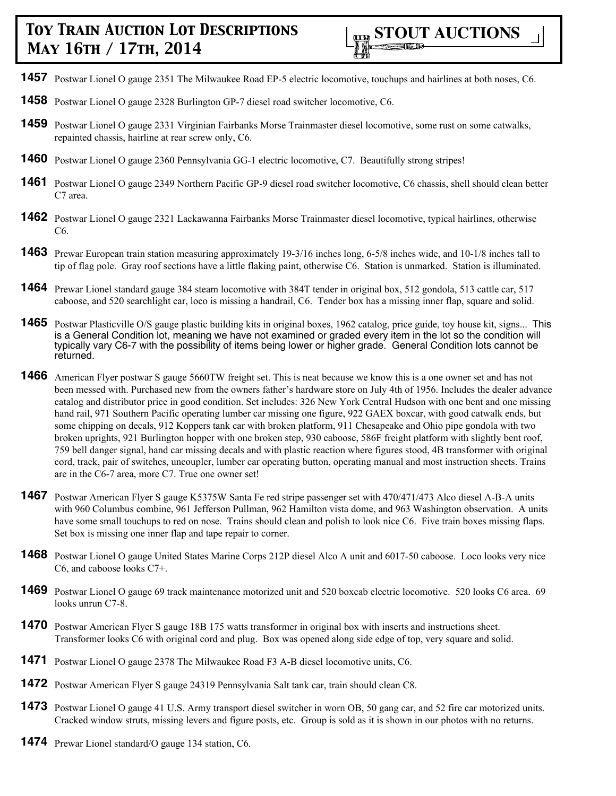- **1457** Postwar Lionel O gauge 2351 The Milwaukee Road EP-5 electric locomotive, touchups and hairlines at both noses, C6.
- **1458** Postwar Lionel O gauge 2328 Burlington GP-7 diesel road switcher locomotive, C6.
- **1459** Postwar Lionel O gauge 2331 Virginian Fairbanks Morse Trainmaster diesel locomotive, some rust on some catwalks, repainted chassis, hairline at rear screw only, C6.
- **1460** Postwar Lionel O gauge 2360 Pennsylvania GG-1 electric locomotive, C7. Beautifully strong stripes!
- **1461** Postwar Lionel O gauge 2349 Northern Pacific GP-9 diesel road switcher locomotive, C6 chassis, shell should clean better C7 area.
- **1462** Postwar Lionel O gauge 2321 Lackawanna Fairbanks Morse Trainmaster diesel locomotive, typical hairlines, otherwise C6.
- **1463** Prewar European train station measuring approximately 19-3/16 inches long, 6-5/8 inches wide, and 10-1/8 inches tall to tip of flag pole. Gray roof sections have a little flaking paint, otherwise C6. Station is unmarked. Station is illuminated.
- **1464** Prewar Lionel standard gauge 384 steam locomotive with 384T tender in original box, 512 gondola, 513 cattle car, 517 caboose, and 520 searchlight car, loco is missing a handrail, C6. Tender box has a missing inner flap, square and solid.
- **1465** Postwar Plasticville O/S gauge plastic building kits in original boxes, 1962 catalog, price guide, toy house kit, signs... This is a General Condition lot, meaning we have not examined or graded every item in the lot so the condition will typically vary C6-7 with the possibility of items being lower or higher grade. General Condition lots cannot be returned.
- **1466** American Flyer postwar S gauge 5660TW freight set. This is neat because we know this is a one owner set and has not been messed with. Purchased new from the owners father's hardware store on July 4th of 1956. Includes the dealer advance catalog and distributor price in good condition. Set includes: 326 New York Central Hudson with one bent and one missing hand rail, 971 Southern Pacific operating lumber car missing one figure, 922 GAEX boxcar, with good catwalk ends, but some chipping on decals, 912 Koppers tank car with broken platform, 911 Chesapeake and Ohio pipe gondola with two broken uprights, 921 Burlington hopper with one broken step, 930 caboose, 586F freight platform with slightly bent roof, 759 bell danger signal, hand car missing decals and with plastic reaction where figures stood, 4B transformer with original cord, track, pair of switches, uncoupler, lumber car operating button, operating manual and most instruction sheets. Trains are in the C6-7 area, more C7. True one owner set!
- **1467** Postwar American Flyer S gauge K5375W Santa Fe red stripe passenger set with 470/471/473 Alco diesel A-B-A units with 960 Columbus combine, 961 Jefferson Pullman, 962 Hamilton vista dome, and 963 Washington observation. A units have some small touchups to red on nose. Trains should clean and polish to look nice C6. Five train boxes missing flaps. Set box is missing one inner flap and tape repair to corner.
- **1468** Postwar Lionel O gauge United States Marine Corps 212P diesel Alco A unit and 6017-50 caboose. Loco looks very nice C6, and caboose looks C7+.
- **1469** Postwar Lionel O gauge 69 track maintenance motorized unit and 520 boxcab electric locomotive. 520 looks C6 area. 69 looks unrun C7-8.
- **1470** Postwar American Flyer S gauge 18B 175 watts transformer in original box with inserts and instructions sheet. Transformer looks C6 with original cord and plug. Box was opened along side edge of top, very square and solid.
- **1471** Postwar Lionel O gauge 2378 The Milwaukee Road F3 A-B diesel locomotive units, C6.
- **1472** Postwar American Flyer S gauge 24319 Pennsylvania Salt tank car, train should clean C8.
- **1473** Postwar Lionel O gauge 41 U.S. Army transport diesel switcher in worn OB, 50 gang car, and 52 fire car motorized units. Cracked window struts, missing levers and figure posts, etc. Group is sold as it is shown in our photos with no returns.
- **1474** Prewar Lionel standard/O gauge 134 station, C6.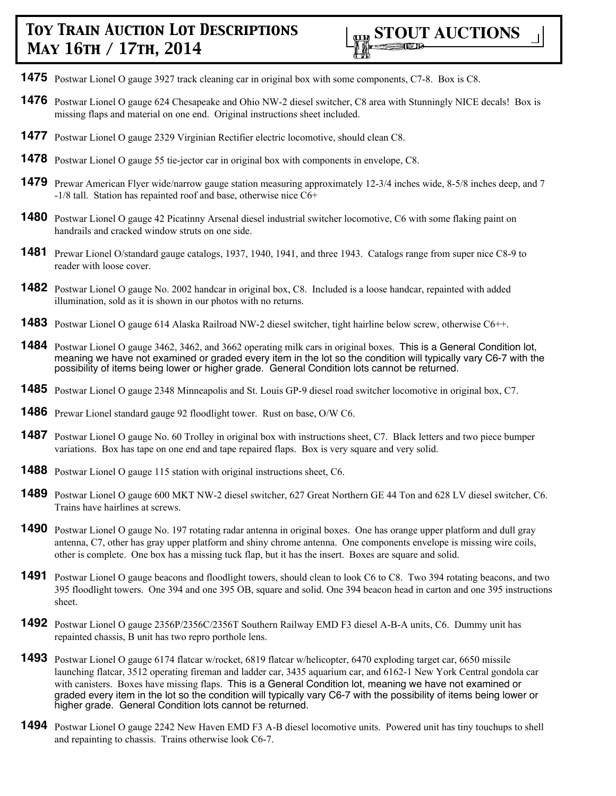

- **1475** Postwar Lionel O gauge 3927 track cleaning car in original box with some components, C7-8. Box is C8.
- **1476** Postwar Lionel O gauge 624 Chesapeake and Ohio NW-2 diesel switcher, C8 area with Stunningly NICE decals! Box is missing flaps and material on one end. Original instructions sheet included.
- **1477** Postwar Lionel O gauge 2329 Virginian Rectifier electric locomotive, should clean C8.
- **1478** Postwar Lionel O gauge 55 tie-jector car in original box with components in envelope, C8.
- **1479** Prewar American Flyer wide/narrow gauge station measuring approximately 12-3/4 inches wide, 8-5/8 inches deep, and 7 -1/8 tall. Station has repainted roof and base, otherwise nice C6+
- **1480** Postwar Lionel O gauge 42 Picatinny Arsenal diesel industrial switcher locomotive, C6 with some flaking paint on handrails and cracked window struts on one side.
- **1481** Prewar Lionel O/standard gauge catalogs, 1937, 1940, 1941, and three 1943. Catalogs range from super nice C8-9 to reader with loose cover.
- **1482** Postwar Lionel O gauge No. 2002 handcar in original box, C8. Included is a loose handcar, repainted with added illumination, sold as it is shown in our photos with no returns.
- **1483** Postwar Lionel O gauge 614 Alaska Railroad NW-2 diesel switcher, tight hairline below screw, otherwise C6++.
- **1484** Postwar Lionel O gauge 3462, 3462, and 3662 operating milk cars in original boxes. This is a General Condition lot, meaning we have not examined or graded every item in the lot so the condition will typically vary C6-7 with the possibility of items being lower or higher grade. General Condition lots cannot be returned.
- **1485** Postwar Lionel O gauge 2348 Minneapolis and St. Louis GP-9 diesel road switcher locomotive in original box, C7.
- **1486** Prewar Lionel standard gauge 92 floodlight tower. Rust on base, O/W C6.
- **1487** Postwar Lionel O gauge No. 60 Trolley in original box with instructions sheet, C7. Black letters and two piece bumper variations. Box has tape on one end and tape repaired flaps. Box is very square and very solid.
- **1488** Postwar Lionel O gauge 115 station with original instructions sheet, C6.
- **1489** Postwar Lionel O gauge 600 MKT NW-2 diesel switcher, 627 Great Northern GE 44 Ton and 628 LV diesel switcher, C6. Trains have hairlines at screws.
- **1490** Postwar Lionel O gauge No. 197 rotating radar antenna in original boxes. One has orange upper platform and dull gray antenna, C7, other has gray upper platform and shiny chrome antenna. One components envelope is missing wire coils, other is complete. One box has a missing tuck flap, but it has the insert. Boxes are square and solid.
- **1491** Postwar Lionel O gauge beacons and floodlight towers, should clean to look C6 to C8. Two 394 rotating beacons, and two 395 floodlight towers. One 394 and one 395 OB, square and solid. One 394 beacon head in carton and one 395 instructions sheet.
- **1492** Postwar Lionel O gauge 2356P/2356C/2356T Southern Railway EMD F3 diesel A-B-A units, C6. Dummy unit has repainted chassis, B unit has two repro porthole lens.
- **1493** Postwar Lionel O gauge 6174 flatcar w/rocket, 6819 flatcar w/helicopter, 6470 exploding target car, 6650 missile launching flatcar, 3512 operating fireman and ladder car, 3435 aquarium car, and 6162-1 New York Central gondola car with canisters. Boxes have missing flaps. This is a General Condition lot, meaning we have not examined or graded every item in the lot so the condition will typically vary C6-7 with the possibility of items being lower or higher grade. General Condition lots cannot be returned.
- **1494** Postwar Lionel O gauge 2242 New Haven EMD F3 A-B diesel locomotive units. Powered unit has tiny touchups to shell and repainting to chassis. Trains otherwise look C6-7.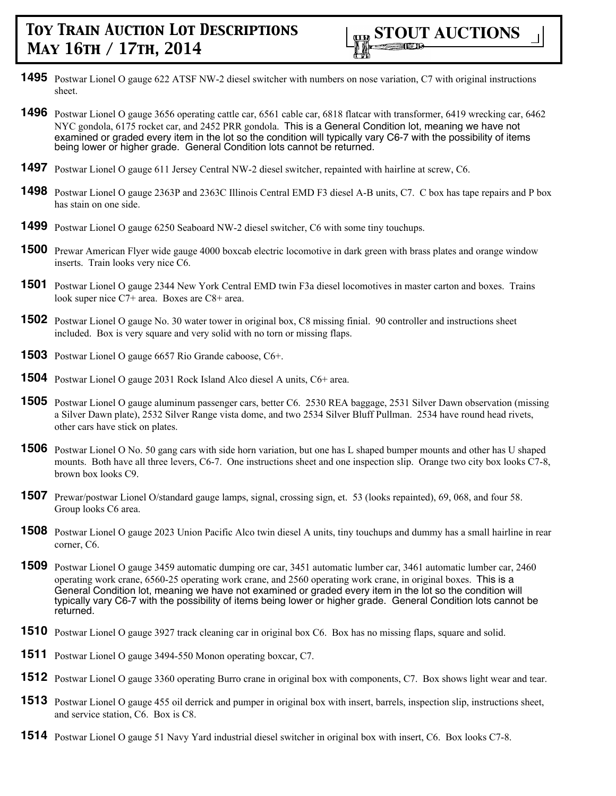

- **1495** Postwar Lionel O gauge 622 ATSF NW-2 diesel switcher with numbers on nose variation, C7 with original instructions sheet.
- **1496** Postwar Lionel O gauge 3656 operating cattle car, 6561 cable car, 6818 flatcar with transformer, 6419 wrecking car, 6462 NYC gondola, 6175 rocket car, and 2452 PRR gondola. This is a General Condition lot, meaning we have not examined or graded every item in the lot so the condition will typically vary C6-7 with the possibility of items being lower or higher grade. General Condition lots cannot be returned.
- **1497** Postwar Lionel O gauge 611 Jersey Central NW-2 diesel switcher, repainted with hairline at screw, C6.
- **1498** Postwar Lionel O gauge 2363P and 2363C Illinois Central EMD F3 diesel A-B units, C7. C box has tape repairs and P box has stain on one side.
- **1499** Postwar Lionel O gauge 6250 Seaboard NW-2 diesel switcher, C6 with some tiny touchups.
- **1500** Prewar American Flyer wide gauge 4000 boxcab electric locomotive in dark green with brass plates and orange window inserts. Train looks very nice C6.
- **1501** Postwar Lionel O gauge 2344 New York Central EMD twin F3a diesel locomotives in master carton and boxes. Trains look super nice C7+ area. Boxes are C8+ area.
- **1502** Postwar Lionel O gauge No. 30 water tower in original box, C8 missing finial. 90 controller and instructions sheet included. Box is very square and very solid with no torn or missing flaps.
- **1503** Postwar Lionel O gauge 6657 Rio Grande caboose, C6+.
- **1504** Postwar Lionel O gauge 2031 Rock Island Alco diesel A units, C6+ area.
- **1505** Postwar Lionel O gauge aluminum passenger cars, better C6. 2530 REA baggage, 2531 Silver Dawn observation (missing a Silver Dawn plate), 2532 Silver Range vista dome, and two 2534 Silver Bluff Pullman. 2534 have round head rivets, other cars have stick on plates.
- **1506** Postwar Lionel O No. 50 gang cars with side horn variation, but one has L shaped bumper mounts and other has U shaped mounts. Both have all three levers, C6-7. One instructions sheet and one inspection slip. Orange two city box looks C7-8, brown box looks C9.
- **1507** Prewar/postwar Lionel O/standard gauge lamps, signal, crossing sign, et. 53 (looks repainted), 69, 068, and four 58. Group looks C6 area.
- **1508** Postwar Lionel O gauge 2023 Union Pacific Alco twin diesel A units, tiny touchups and dummy has a small hairline in rear corner, C6.
- **1509** Postwar Lionel O gauge 3459 automatic dumping ore car, 3451 automatic lumber car, 3461 automatic lumber car, 2460 operating work crane, 6560-25 operating work crane, and 2560 operating work crane, in original boxes. This is a General Condition lot, meaning we have not examined or graded every item in the lot so the condition will typically vary C6-7 with the possibility of items being lower or higher grade. General Condition lots cannot be returned.
- **1510** Postwar Lionel O gauge 3927 track cleaning car in original box C6. Box has no missing flaps, square and solid.
- **1511** Postwar Lionel O gauge 3494-550 Monon operating boxcar, C7.
- **1512** Postwar Lionel O gauge 3360 operating Burro crane in original box with components, C7. Box shows light wear and tear.
- **1513** Postwar Lionel O gauge 455 oil derrick and pumper in original box with insert, barrels, inspection slip, instructions sheet, and service station, C6. Box is C8.
- **1514** Postwar Lionel O gauge 51 Navy Yard industrial diesel switcher in original box with insert, C6. Box looks C7-8.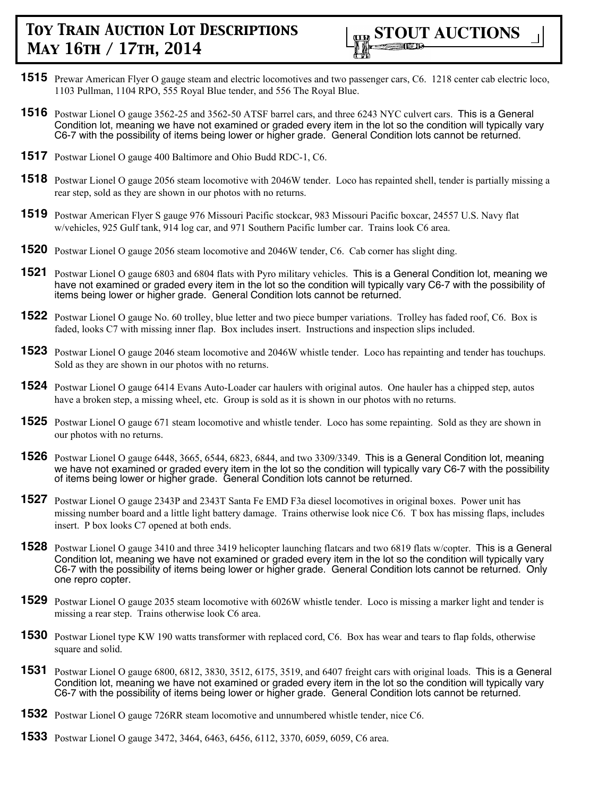

- **1515** Prewar American Flyer O gauge steam and electric locomotives and two passenger cars, C6. 1218 center cab electric loco, 1103 Pullman, 1104 RPO, 555 Royal Blue tender, and 556 The Royal Blue.
- **1516** Postwar Lionel O gauge 3562-25 and 3562-50 ATSF barrel cars, and three 6243 NYC culvert cars. This is a General Condition lot, meaning we have not examined or graded every item in the lot so the condition will typically vary C6-7 with the possibility of items being lower or higher grade. General Condition lots cannot be returned.
- **1517** Postwar Lionel O gauge 400 Baltimore and Ohio Budd RDC-1, C6.
- **1518** Postwar Lionel O gauge 2056 steam locomotive with 2046W tender. Loco has repainted shell, tender is partially missing a rear step, sold as they are shown in our photos with no returns.
- **1519** Postwar American Flyer S gauge 976 Missouri Pacific stockcar, 983 Missouri Pacific boxcar, 24557 U.S. Navy flat w/vehicles, 925 Gulf tank, 914 log car, and 971 Southern Pacific lumber car. Trains look C6 area.
- **1520** Postwar Lionel O gauge 2056 steam locomotive and 2046W tender, C6. Cab corner has slight ding.
- **1521** Postwar Lionel O gauge 6803 and 6804 flats with Pyro military vehicles. This is a General Condition lot, meaning we have not examined or graded every item in the lot so the condition will typically vary C6-7 with the possibility of items being lower or higher grade. General Condition lots cannot be returned.
- **1522** Postwar Lionel O gauge No. 60 trolley, blue letter and two piece bumper variations. Trolley has faded roof, C6. Box is faded, looks C7 with missing inner flap. Box includes insert. Instructions and inspection slips included.
- **1523** Postwar Lionel O gauge 2046 steam locomotive and 2046W whistle tender. Loco has repainting and tender has touchups. Sold as they are shown in our photos with no returns.
- **1524** Postwar Lionel O gauge 6414 Evans Auto-Loader car haulers with original autos. One hauler has a chipped step, autos have a broken step, a missing wheel, etc. Group is sold as it is shown in our photos with no returns.
- **1525** Postwar Lionel O gauge 671 steam locomotive and whistle tender. Loco has some repainting. Sold as they are shown in our photos with no returns.
- **1526** Postwar Lionel O gauge 6448, 3665, 6544, 6823, 6844, and two 3309/3349. This is a General Condition lot, meaning we have not examined or graded every item in the lot so the condition will typically vary C6-7 with the possibility of items being lower or higher grade. General Condition lots cannot be returned.
- **1527** Postwar Lionel O gauge 2343P and 2343T Santa Fe EMD F3a diesel locomotives in original boxes. Power unit has missing number board and a little light battery damage. Trains otherwise look nice C6. T box has missing flaps, includes insert. P box looks C7 opened at both ends.
- **1528** Postwar Lionel O gauge 3410 and three 3419 helicopter launching flatcars and two 6819 flats w/copter. This is a General Condition lot, meaning we have not examined or graded every item in the lot so the condition will typically vary C6-7 with the possibility of items being lower or higher grade. General Condition lots cannot be returned. Only one repro copter.
- **1529** Postwar Lionel O gauge 2035 steam locomotive with 6026W whistle tender. Loco is missing a marker light and tender is missing a rear step. Trains otherwise look C6 area.
- **1530** Postwar Lionel type KW 190 watts transformer with replaced cord, C6. Box has wear and tears to flap folds, otherwise square and solid.
- **1531** Postwar Lionel O gauge 6800, 6812, 3830, 3512, 6175, 3519, and 6407 freight cars with original loads. This is a General Condition lot, meaning we have not examined or graded every item in the lot so the condition will typically vary C6-7 with the possibility of items being lower or higher grade. General Condition lots cannot be returned.
- **1532** Postwar Lionel O gauge 726RR steam locomotive and unnumbered whistle tender, nice C6.
- **1533** Postwar Lionel O gauge 3472, 3464, 6463, 6456, 6112, 3370, 6059, 6059, C6 area.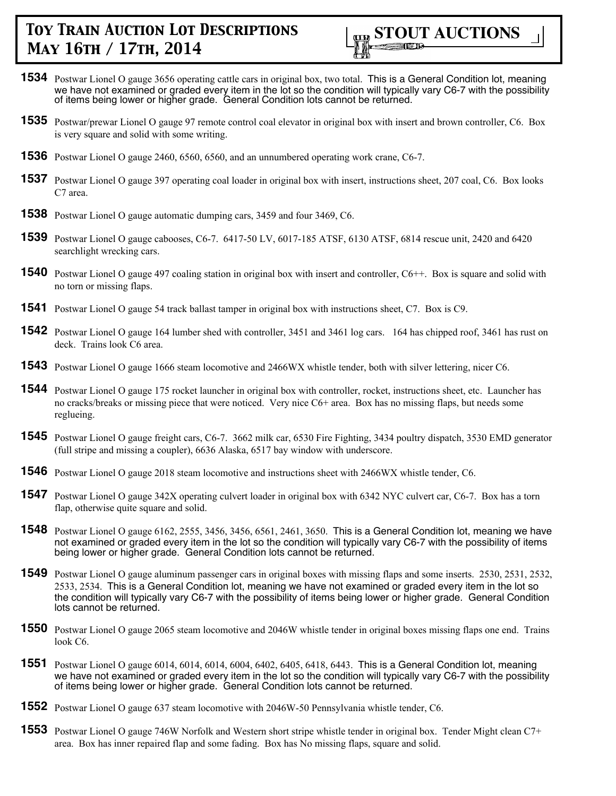

- **1534** Postwar Lionel O gauge 3656 operating cattle cars in original box, two total. This is a General Condition lot, meaning we have not examined or graded every item in the lot so the condition will typically vary C6-7 with the possibility of items being lower or higher grade. General Condition lots cannot be returned.
- **1535** Postwar/prewar Lionel O gauge 97 remote control coal elevator in original box with insert and brown controller, C6. Box is very square and solid with some writing.
- **1536** Postwar Lionel O gauge 2460, 6560, 6560, and an unnumbered operating work crane, C6-7.
- **1537** Postwar Lionel O gauge 397 operating coal loader in original box with insert, instructions sheet, 207 coal, C6. Box looks C7 area.
- **1538** Postwar Lionel O gauge automatic dumping cars, 3459 and four 3469, C6.
- **1539** Postwar Lionel O gauge cabooses, C6-7. 6417-50 LV, 6017-185 ATSF, 6130 ATSF, 6814 rescue unit, 2420 and 6420 searchlight wrecking cars.
- **1540** Postwar Lionel O gauge 497 coaling station in original box with insert and controller, C6++. Box is square and solid with no torn or missing flaps.
- **1541** Postwar Lionel O gauge 54 track ballast tamper in original box with instructions sheet, C7. Box is C9.
- **1542** Postwar Lionel O gauge 164 lumber shed with controller, 3451 and 3461 log cars. 164 has chipped roof, 3461 has rust on deck. Trains look C6 area.
- **1543** Postwar Lionel O gauge 1666 steam locomotive and 2466WX whistle tender, both with silver lettering, nicer C6.
- **1544** Postwar Lionel O gauge 175 rocket launcher in original box with controller, rocket, instructions sheet, etc. Launcher has no cracks/breaks or missing piece that were noticed. Very nice C6+ area. Box has no missing flaps, but needs some reglueing.
- **1545** Postwar Lionel O gauge freight cars, C6-7. 3662 milk car, 6530 Fire Fighting, 3434 poultry dispatch, 3530 EMD generator (full stripe and missing a coupler), 6636 Alaska, 6517 bay window with underscore.
- **1546** Postwar Lionel O gauge 2018 steam locomotive and instructions sheet with 2466WX whistle tender, C6.
- **1547** Postwar Lionel O gauge 342X operating culvert loader in original box with 6342 NYC culvert car, C6-7. Box has a torn flap, otherwise quite square and solid.
- **1548** Postwar Lionel O gauge 6162, 2555, 3456, 3456, 6561, 2461, 3650. This is a General Condition lot, meaning we have not examined or graded every item in the lot so the condition will typically vary C6-7 with the possibility of items being lower or higher grade. General Condition lots cannot be returned.
- **1549** Postwar Lionel O gauge aluminum passenger cars in original boxes with missing flaps and some inserts. 2530, 2531, 2532, 2533, 2534. This is a General Condition lot, meaning we have not examined or graded every item in the lot so the condition will typically vary C6-7 with the possibility of items being lower or higher grade. General Condition lots cannot be returned.
- **1550** Postwar Lionel O gauge 2065 steam locomotive and 2046W whistle tender in original boxes missing flaps one end. Trains look C6.
- **1551** Postwar Lionel O gauge 6014, 6014, 6014, 6004, 6402, 6405, 6418, 6443. This is a General Condition lot, meaning we have not examined or graded every item in the lot so the condition will typically vary C6-7 with the possibility of items being lower or higher grade. General Condition lots cannot be returned.
- **1552** Postwar Lionel O gauge 637 steam locomotive with 2046W-50 Pennsylvania whistle tender, C6.
- **1553** Postwar Lionel O gauge 746W Norfolk and Western short stripe whistle tender in original box. Tender Might clean C7+ area. Box has inner repaired flap and some fading. Box has No missing flaps, square and solid.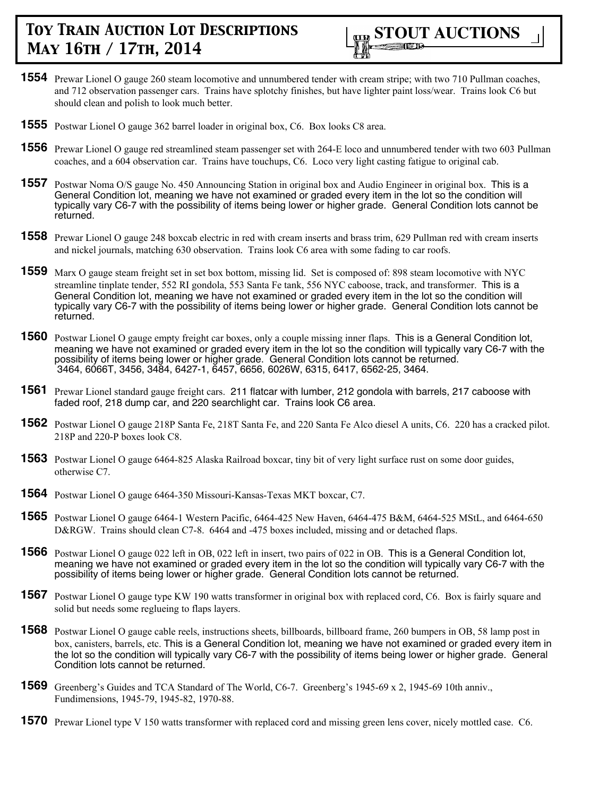

- **1554** Prewar Lionel O gauge 260 steam locomotive and unnumbered tender with cream stripe; with two 710 Pullman coaches, and 712 observation passenger cars. Trains have splotchy finishes, but have lighter paint loss/wear. Trains look C6 but should clean and polish to look much better.
- **1555** Postwar Lionel O gauge 362 barrel loader in original box, C6. Box looks C8 area.
- **1556** Prewar Lionel O gauge red streamlined steam passenger set with 264-E loco and unnumbered tender with two 603 Pullman coaches, and a 604 observation car. Trains have touchups, C6. Loco very light casting fatigue to original cab.
- **1557** Postwar Noma O/S gauge No. 450 Announcing Station in original box and Audio Engineer in original box. This is a General Condition lot, meaning we have not examined or graded every item in the lot so the condition will typically vary C6-7 with the possibility of items being lower or higher grade. General Condition lots cannot be returned.
- **1558** Prewar Lionel O gauge 248 boxcab electric in red with cream inserts and brass trim, 629 Pullman red with cream inserts and nickel journals, matching 630 observation. Trains look C6 area with some fading to car roofs.
- **1559** Marx O gauge steam freight set in set box bottom, missing lid. Set is composed of: 898 steam locomotive with NYC streamline tinplate tender, 552 RI gondola, 553 Santa Fe tank, 556 NYC caboose, track, and transformer. This is a General Condition lot, meaning we have not examined or graded every item in the lot so the condition will typically vary C6-7 with the possibility of items being lower or higher grade. General Condition lots cannot be returned.
- **1560** Postwar Lionel O gauge empty freight car boxes, only a couple missing inner flaps. This is a General Condition lot, meaning we have not examined or graded every item in the lot so the condition will typically vary C6-7 with the possibility of items being lower or higher grade. General Condition lots cannot be returned. 3464, 6066T, 3456, 3484, 6427-1, 6457, 6656, 6026W, 6315, 6417, 6562-25, 3464.
- **1561** Prewar Lionel standard gauge freight cars. 211 flatcar with lumber, 212 gondola with barrels, 217 caboose with faded roof, 218 dump car, and 220 searchlight car. Trains look C6 area.
- **1562** Postwar Lionel O gauge 218P Santa Fe, 218T Santa Fe, and 220 Santa Fe Alco diesel A units, C6. 220 has a cracked pilot. 218P and 220-P boxes look C8.
- **1563** Postwar Lionel O gauge 6464-825 Alaska Railroad boxcar, tiny bit of very light surface rust on some door guides, otherwise C7.
- **1564** Postwar Lionel O gauge 6464-350 Missouri-Kansas-Texas MKT boxcar, C7.
- **1565** Postwar Lionel O gauge 6464-1 Western Pacific, 6464-425 New Haven, 6464-475 B&M, 6464-525 MStL, and 6464-650 D&RGW. Trains should clean C7-8. 6464 and -475 boxes included, missing and or detached flaps.
- **1566** Postwar Lionel O gauge 022 left in OB, 022 left in insert, two pairs of 022 in OB. This is a General Condition lot, meaning we have not examined or graded every item in the lot so the condition will typically vary C6-7 with the possibility of items being lower or higher grade. General Condition lots cannot be returned.
- **1567** Postwar Lionel O gauge type KW 190 watts transformer in original box with replaced cord, C6. Box is fairly square and solid but needs some reglueing to flaps layers.
- **1568** Postwar Lionel O gauge cable reels, instructions sheets, billboards, billboard frame, 260 bumpers in OB, 58 lamp post in box, canisters, barrels, etc. This is a General Condition lot, meaning we have not examined or graded every item in the lot so the condition will typically vary C6-7 with the possibility of items being lower or higher grade. General Condition lots cannot be returned.
- **1569** Greenberg's Guides and TCA Standard of The World, C6-7. Greenberg's 1945-69 x 2, 1945-69 10th anniv., Fundimensions, 1945-79, 1945-82, 1970-88.
- **1570** Prewar Lionel type V 150 watts transformer with replaced cord and missing green lens cover, nicely mottled case. C6.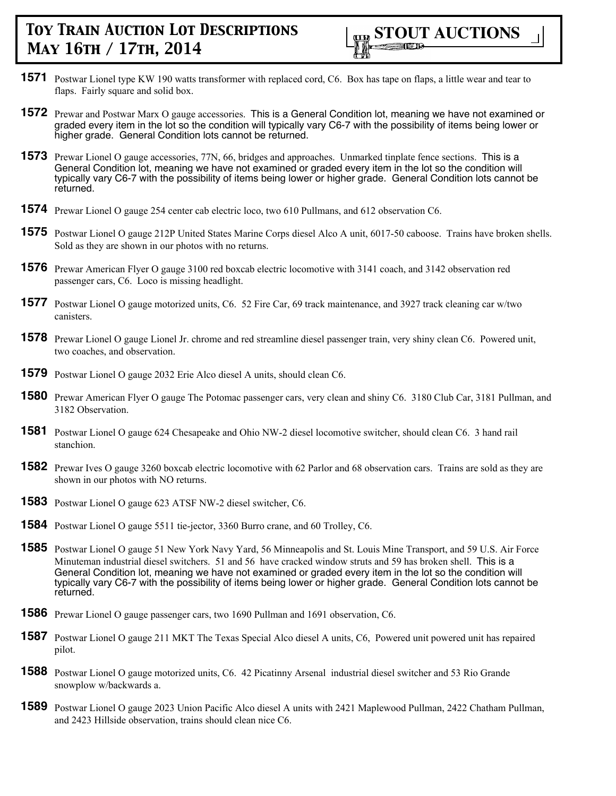

- **1571** Postwar Lionel type KW 190 watts transformer with replaced cord, C6. Box has tape on flaps, a little wear and tear to flaps. Fairly square and solid box.
- **1572** Prewar and Postwar Marx O gauge accessories. This is a General Condition lot, meaning we have not examined or graded every item in the lot so the condition will typically vary C6-7 with the possibility of items being lower or higher grade. General Condition lots cannot be returned.
- **1573** Prewar Lionel O gauge accessories, 77N, 66, bridges and approaches. Unmarked tinplate fence sections. This is a General Condition lot, meaning we have not examined or graded every item in the lot so the condition will typically vary C6-7 with the possibility of items being lower or higher grade. General Condition lots cannot be returned.
- **1574** Prewar Lionel O gauge 254 center cab electric loco, two 610 Pullmans, and 612 observation C6.
- **1575** Postwar Lionel O gauge 212P United States Marine Corps diesel Alco A unit, 6017-50 caboose. Trains have broken shells. Sold as they are shown in our photos with no returns.
- **1576** Prewar American Flyer O gauge 3100 red boxcab electric locomotive with 3141 coach, and 3142 observation red passenger cars, C6. Loco is missing headlight.
- **1577** Postwar Lionel O gauge motorized units, C6. 52 Fire Car, 69 track maintenance, and 3927 track cleaning car w/two canisters.
- **1578** Prewar Lionel O gauge Lionel Jr. chrome and red streamline diesel passenger train, very shiny clean C6. Powered unit, two coaches, and observation.
- **1579** Postwar Lionel O gauge 2032 Erie Alco diesel A units, should clean C6.
- **1580** Prewar American Flyer O gauge The Potomac passenger cars, very clean and shiny C6. 3180 Club Car, 3181 Pullman, and 3182 Observation.
- **1581** Postwar Lionel O gauge 624 Chesapeake and Ohio NW-2 diesel locomotive switcher, should clean C6. 3 hand rail stanchion.
- **1582** Prewar Ives O gauge 3260 boxcab electric locomotive with 62 Parlor and 68 observation cars. Trains are sold as they are shown in our photos with NO returns.
- **1583** Postwar Lionel O gauge 623 ATSF NW-2 diesel switcher, C6.
- **1584** Postwar Lionel O gauge 5511 tie-jector, 3360 Burro crane, and 60 Trolley, C6.
- **1585** Postwar Lionel O gauge 51 New York Navy Yard, 56 Minneapolis and St. Louis Mine Transport, and 59 U.S. Air Force Minuteman industrial diesel switchers. 51 and 56 have cracked window struts and 59 has broken shell. This is a General Condition lot, meaning we have not examined or graded every item in the lot so the condition will typically vary C6-7 with the possibility of items being lower or higher grade. General Condition lots cannot be returned.
- **1586** Prewar Lionel O gauge passenger cars, two 1690 Pullman and 1691 observation, C6.
- **1587** Postwar Lionel O gauge 211 MKT The Texas Special Alco diesel A units, C6, Powered unit powered unit has repaired pilot.
- **1588** Postwar Lionel O gauge motorized units, C6. 42 Picatinny Arsenal industrial diesel switcher and 53 Rio Grande snowplow w/backwards a.
- **1589** Postwar Lionel O gauge 2023 Union Pacific Alco diesel A units with 2421 Maplewood Pullman, 2422 Chatham Pullman, and 2423 Hillside observation, trains should clean nice C6.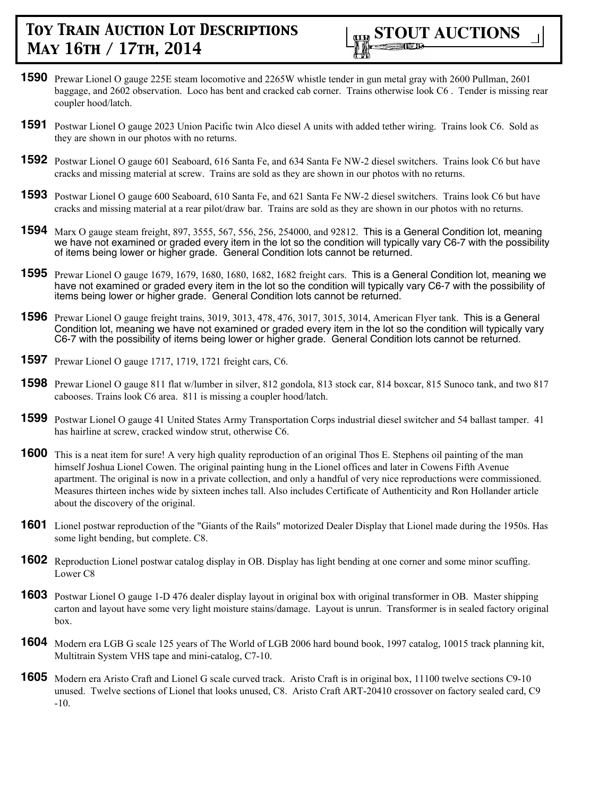

- **1590** Prewar Lionel O gauge 225E steam locomotive and 2265W whistle tender in gun metal gray with 2600 Pullman, 2601 baggage, and 2602 observation. Loco has bent and cracked cab corner. Trains otherwise look C6 . Tender is missing rear coupler hood/latch.
- **1591** Postwar Lionel O gauge 2023 Union Pacific twin Alco diesel A units with added tether wiring. Trains look C6. Sold as they are shown in our photos with no returns.
- **1592** Postwar Lionel O gauge 601 Seaboard, 616 Santa Fe, and 634 Santa Fe NW-2 diesel switchers. Trains look C6 but have cracks and missing material at screw. Trains are sold as they are shown in our photos with no returns.
- **1593** Postwar Lionel O gauge 600 Seaboard, 610 Santa Fe, and 621 Santa Fe NW-2 diesel switchers. Trains look C6 but have cracks and missing material at a rear pilot/draw bar. Trains are sold as they are shown in our photos with no returns.
- **1594** Marx O gauge steam freight, 897, 3555, 567, 556, 256, 254000, and 92812. This is a General Condition lot, meaning we have not examined or graded every item in the lot so the condition will typically vary C6-7 with the possibility of items being lower or higher grade. General Condition lots cannot be returned.
- **1595** Prewar Lionel O gauge 1679, 1679, 1680, 1680, 1682, 1682 freight cars. This is a General Condition lot, meaning we have not examined or graded every item in the lot so the condition will typically vary C6-7 with the possibility of items being lower or higher grade. General Condition lots cannot be returned.
- **1596** Prewar Lionel O gauge freight trains, 3019, 3013, 478, 476, 3017, 3015, 3014, American Flyer tank. This is a General Condition lot, meaning we have not examined or graded every item in the lot so the condition will typically vary C6-7 with the possibility of items being lower or higher grade. General Condition lots cannot be returned.
- **1597** Prewar Lionel O gauge 1717, 1719, 1721 freight cars, C6.
- **1598** Prewar Lionel O gauge 811 flat w/lumber in silver, 812 gondola, 813 stock car, 814 boxcar, 815 Sunoco tank, and two 817 cabooses. Trains look C6 area. 811 is missing a coupler hood/latch.
- **1599** Postwar Lionel O gauge 41 United States Army Transportation Corps industrial diesel switcher and 54 ballast tamper. 41 has hairline at screw, cracked window strut, otherwise C6.
- **1600** This is a neat item for sure! A very high quality reproduction of an original Thos E. Stephens oil painting of the man himself Joshua Lionel Cowen. The original painting hung in the Lionel offices and later in Cowens Fifth Avenue apartment. The original is now in a private collection, and only a handful of very nice reproductions were commissioned. Measures thirteen inches wide by sixteen inches tall. Also includes Certificate of Authenticity and Ron Hollander article about the discovery of the original.
- **1601** Lionel postwar reproduction of the "Giants of the Rails" motorized Dealer Display that Lionel made during the 1950s. Has some light bending, but complete. C8.
- **1602** Reproduction Lionel postwar catalog display in OB. Display has light bending at one corner and some minor scuffing. Lower C8
- **1603** Postwar Lionel O gauge 1-D 476 dealer display layout in original box with original transformer in OB. Master shipping carton and layout have some very light moisture stains/damage. Layout is unrun. Transformer is in sealed factory original box.
- **1604** Modern era LGB G scale 125 years of The World of LGB 2006 hard bound book, 1997 catalog, 10015 track planning kit, Multitrain System VHS tape and mini-catalog, C7-10.
- **1605** Modern era Aristo Craft and Lionel G scale curved track. Aristo Craft is in original box, 11100 twelve sections C9-10 unused. Twelve sections of Lionel that looks unused, C8. Aristo Craft ART-20410 crossover on factory sealed card, C9 -10.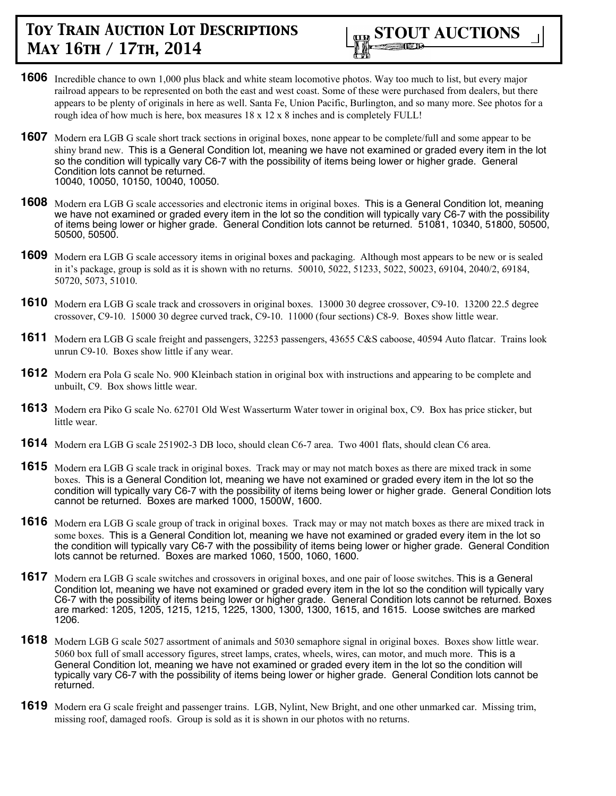

- **1606** Incredible chance to own 1,000 plus black and white steam locomotive photos. Way too much to list, but every major railroad appears to be represented on both the east and west coast. Some of these were purchased from dealers, but there appears to be plenty of originals in here as well. Santa Fe, Union Pacific, Burlington, and so many more. See photos for a rough idea of how much is here, box measures  $18 \times 12 \times 8$  inches and is completely FULL!
- **1607** Modern era LGB G scale short track sections in original boxes, none appear to be complete/full and some appear to be shiny brand new. This is a General Condition lot, meaning we have not examined or graded every item in the lot so the condition will typically vary C6-7 with the possibility of items being lower or higher grade. General Condition lots cannot be returned. 10040, 10050, 10150, 10040, 10050.
- **1608** Modern era LGB G scale accessories and electronic items in original boxes. This is a General Condition lot, meaning we have not examined or graded every item in the lot so the condition will typically vary C6-7 with the possibility of items being lower or higher grade. General Condition lots cannot be returned. 51081, 10340, 51800, 50500, 50500, 50500.
- **1609** Modern era LGB G scale accessory items in original boxes and packaging. Although most appears to be new or is sealed in it's package, group is sold as it is shown with no returns. 50010, 5022, 51233, 5022, 50023, 69104, 2040/2, 69184, 50720, 5073, 51010.
- **1610** Modern era LGB G scale track and crossovers in original boxes. 13000 30 degree crossover, C9-10. 13200 22.5 degree crossover, C9-10. 15000 30 degree curved track, C9-10. 11000 (four sections) C8-9. Boxes show little wear.
- **1611** Modern era LGB G scale freight and passengers, 32253 passengers, 43655 C&S caboose, 40594 Auto flatcar. Trains look unrun C9-10. Boxes show little if any wear.
- **1612** Modern era Pola G scale No. 900 Kleinbach station in original box with instructions and appearing to be complete and unbuilt, C9. Box shows little wear.
- **1613** Modern era Piko G scale No. 62701 Old West Wasserturm Water tower in original box, C9. Box has price sticker, but little wear.
- **1614** Modern era LGB G scale 251902-3 DB loco, should clean C6-7 area. Two 4001 flats, should clean C6 area.
- **1615** Modern era LGB G scale track in original boxes. Track may or may not match boxes as there are mixed track in some boxes. This is a General Condition lot, meaning we have not examined or graded every item in the lot so the condition will typically vary C6-7 with the possibility of items being lower or higher grade. General Condition lots cannot be returned. Boxes are marked 1000, 1500W, 1600.
- **1616** Modern era LGB G scale group of track in original boxes. Track may or may not match boxes as there are mixed track in some boxes. This is a General Condition lot, meaning we have not examined or graded every item in the lot so the condition will typically vary C6-7 with the possibility of items being lower or higher grade. General Condition lots cannot be returned. Boxes are marked 1060, 1500, 1060, 1600.
- **1617** Modern era LGB G scale switches and crossovers in original boxes, and one pair of loose switches. This is a General Condition lot, meaning we have not examined or graded every item in the lot so the condition will typically vary C6-7 with the possibility of items being lower or higher grade. General Condition lots cannot be returned. Boxes are marked: 1205, 1205, 1215, 1215, 1225, 1300, 1300, 1300, 1615, and 1615. Loose switches are marked 1206.
- **1618** Modern LGB G scale 5027 assortment of animals and 5030 semaphore signal in original boxes. Boxes show little wear. 5060 box full of small accessory figures, street lamps, crates, wheels, wires, can motor, and much more. This is a General Condition lot, meaning we have not examined or graded every item in the lot so the condition will typically vary C6-7 with the possibility of items being lower or higher grade. General Condition lots cannot be returned.
- **1619** Modern era G scale freight and passenger trains. LGB, Nylint, New Bright, and one other unmarked car. Missing trim, missing roof, damaged roofs. Group is sold as it is shown in our photos with no returns.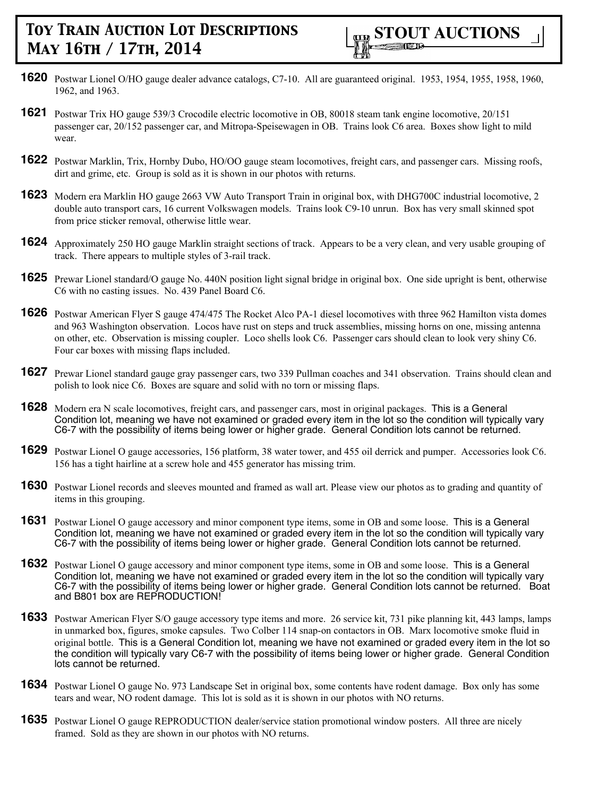- **1620** Postwar Lionel O/HO gauge dealer advance catalogs, C7-10. All are guaranteed original. 1953, 1954, 1955, 1958, 1960, 1962, and 1963.
- **1621** Postwar Trix HO gauge 539/3 Crocodile electric locomotive in OB, 80018 steam tank engine locomotive, 20/151 passenger car, 20/152 passenger car, and Mitropa-Speisewagen in OB. Trains look C6 area. Boxes show light to mild wear.
- **1622** Postwar Marklin, Trix, Hornby Dubo, HO/OO gauge steam locomotives, freight cars, and passenger cars. Missing roofs, dirt and grime, etc. Group is sold as it is shown in our photos with returns.
- **1623** Modern era Marklin HO gauge 2663 VW Auto Transport Train in original box, with DHG700C industrial locomotive, 2 double auto transport cars, 16 current Volkswagen models. Trains look C9-10 unrun. Box has very small skinned spot from price sticker removal, otherwise little wear.
- **1624** Approximately 250 HO gauge Marklin straight sections of track. Appears to be a very clean, and very usable grouping of track. There appears to multiple styles of 3-rail track.
- **1625** Prewar Lionel standard/O gauge No. 440N position light signal bridge in original box. One side upright is bent, otherwise C6 with no casting issues. No. 439 Panel Board C6.
- **1626** Postwar American Flyer S gauge 474/475 The Rocket Alco PA-1 diesel locomotives with three 962 Hamilton vista domes and 963 Washington observation. Locos have rust on steps and truck assemblies, missing horns on one, missing antenna on other, etc. Observation is missing coupler. Loco shells look C6. Passenger cars should clean to look very shiny C6. Four car boxes with missing flaps included.
- **1627** Prewar Lionel standard gauge gray passenger cars, two 339 Pullman coaches and 341 observation. Trains should clean and polish to look nice C6. Boxes are square and solid with no torn or missing flaps.
- **1628** Modern era N scale locomotives, freight cars, and passenger cars, most in original packages. This is a General Condition lot, meaning we have not examined or graded every item in the lot so the condition will typically vary C6-7 with the possibility of items being lower or higher grade. General Condition lots cannot be returned.
- **1629** Postwar Lionel O gauge accessories, 156 platform, 38 water tower, and 455 oil derrick and pumper. Accessories look C6. 156 has a tight hairline at a screw hole and 455 generator has missing trim.
- **1630** Postwar Lionel records and sleeves mounted and framed as wall art. Please view our photos as to grading and quantity of items in this grouping.
- **1631** Postwar Lionel O gauge accessory and minor component type items, some in OB and some loose. This is a General Condition lot, meaning we have not examined or graded every item in the lot so the condition will typically vary C6-7 with the possibility of items being lower or higher grade. General Condition lots cannot be returned.
- **1632** Postwar Lionel O gauge accessory and minor component type items, some in OB and some loose. This is a General Condition lot, meaning we have not examined or graded every item in the lot so the condition will typically vary C6-7 with the possibility of items being lower or higher grade. General Condition lots cannot be returned. Boat and B801 box are REPRODUCTION!
- **1633** Postwar American Flyer S/O gauge accessory type items and more. 26 service kit, 731 pike planning kit, 443 lamps, lamps in unmarked box, figures, smoke capsules. Two Colber 114 snap-on contactors in OB. Marx locomotive smoke fluid in original bottle. This is a General Condition lot, meaning we have not examined or graded every item in the lot so the condition will typically vary C6-7 with the possibility of items being lower or higher grade. General Condition lots cannot be returned.
- **1634** Postwar Lionel O gauge No. 973 Landscape Set in original box, some contents have rodent damage. Box only has some tears and wear, NO rodent damage. This lot is sold as it is shown in our photos with NO returns.
- **1635** Postwar Lionel O gauge REPRODUCTION dealer/service station promotional window posters. All three are nicely framed. Sold as they are shown in our photos with NO returns.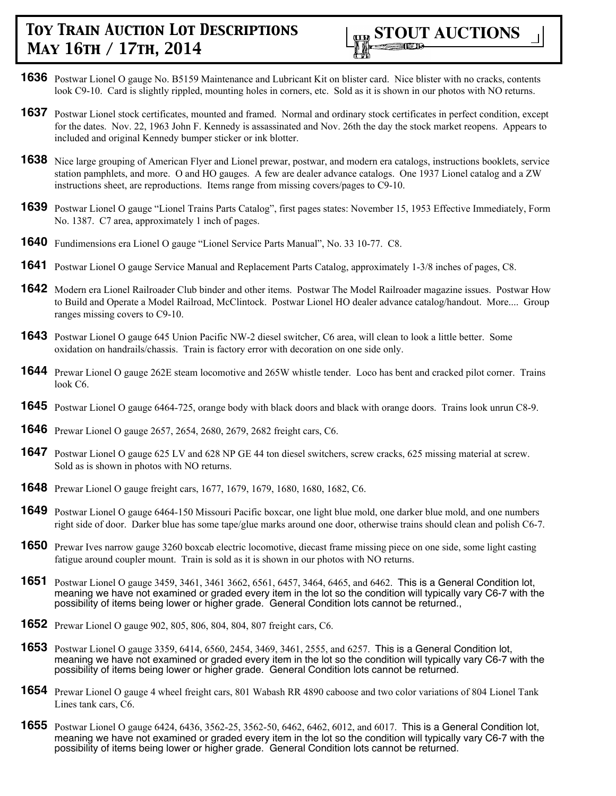

- **1636** Postwar Lionel O gauge No. B5159 Maintenance and Lubricant Kit on blister card. Nice blister with no cracks, contents look C9-10. Card is slightly rippled, mounting holes in corners, etc. Sold as it is shown in our photos with NO returns.
- **1637** Postwar Lionel stock certificates, mounted and framed. Normal and ordinary stock certificates in perfect condition, except for the dates. Nov. 22, 1963 John F. Kennedy is assassinated and Nov. 26th the day the stock market reopens. Appears to included and original Kennedy bumper sticker or ink blotter.
- **1638** Nice large grouping of American Flyer and Lionel prewar, postwar, and modern era catalogs, instructions booklets, service station pamphlets, and more. O and HO gauges. A few are dealer advance catalogs. One 1937 Lionel catalog and a ZW instructions sheet, are reproductions. Items range from missing covers/pages to C9-10.
- **1639** Postwar Lionel O gauge "Lionel Trains Parts Catalog", first pages states: November 15, 1953 Effective Immediately, Form No. 1387. C7 area, approximately 1 inch of pages.
- **1640** Fundimensions era Lionel O gauge "Lionel Service Parts Manual", No. 33 10-77. C8.
- **1641** Postwar Lionel O gauge Service Manual and Replacement Parts Catalog, approximately 1-3/8 inches of pages, C8.
- **1642** Modern era Lionel Railroader Club binder and other items. Postwar The Model Railroader magazine issues. Postwar How to Build and Operate a Model Railroad, McClintock. Postwar Lionel HO dealer advance catalog/handout. More.... Group ranges missing covers to C9-10.
- **1643** Postwar Lionel O gauge 645 Union Pacific NW-2 diesel switcher, C6 area, will clean to look a little better. Some oxidation on handrails/chassis. Train is factory error with decoration on one side only.
- **1644** Prewar Lionel O gauge 262E steam locomotive and 265W whistle tender. Loco has bent and cracked pilot corner. Trains look C6.
- **1645** Postwar Lionel O gauge 6464-725, orange body with black doors and black with orange doors. Trains look unrun C8-9.
- **1646** Prewar Lionel O gauge 2657, 2654, 2680, 2679, 2682 freight cars, C6.
- **1647** Postwar Lionel O gauge 625 LV and 628 NP GE 44 ton diesel switchers, screw cracks, 625 missing material at screw. Sold as is shown in photos with NO returns.
- **1648** Prewar Lionel O gauge freight cars, 1677, 1679, 1679, 1680, 1680, 1682, C6.
- **1649** Postwar Lionel O gauge 6464-150 Missouri Pacific boxcar, one light blue mold, one darker blue mold, and one numbers right side of door. Darker blue has some tape/glue marks around one door, otherwise trains should clean and polish C6-7.
- **1650** Prewar Ives narrow gauge 3260 boxcab electric locomotive, diecast frame missing piece on one side, some light casting fatigue around coupler mount. Train is sold as it is shown in our photos with NO returns.
- **1651** Postwar Lionel O gauge 3459, 3461, 3461 3662, 6561, 6457, 3464, 6465, and 6462. This is a General Condition lot, meaning we have not examined or graded every item in the lot so the condition will typically vary C6-7 with the possibility of items being lower or higher grade. General Condition lots cannot be returned.,
- **1652** Prewar Lionel O gauge 902, 805, 806, 804, 804, 807 freight cars, C6.
- **1653** Postwar Lionel O gauge 3359, 6414, 6560, 2454, 3469, 3461, 2555, and 6257. This is a General Condition lot, meaning we have not examined or graded every item in the lot so the condition will typically vary C6-7 with the possibility of items being lower or higher grade. General Condition lots cannot be returned.
- **1654** Prewar Lionel O gauge 4 wheel freight cars, 801 Wabash RR 4890 caboose and two color variations of 804 Lionel Tank Lines tank cars, C6.
- **1655** Postwar Lionel O gauge 6424, 6436, 3562-25, 3562-50, 6462, 6462, 6012, and 6017. This is a General Condition lot, meaning we have not examined or graded every item in the lot so the condition will typically vary C6-7 with the possibility of items being lower or higher grade. General Condition lots cannot be returned.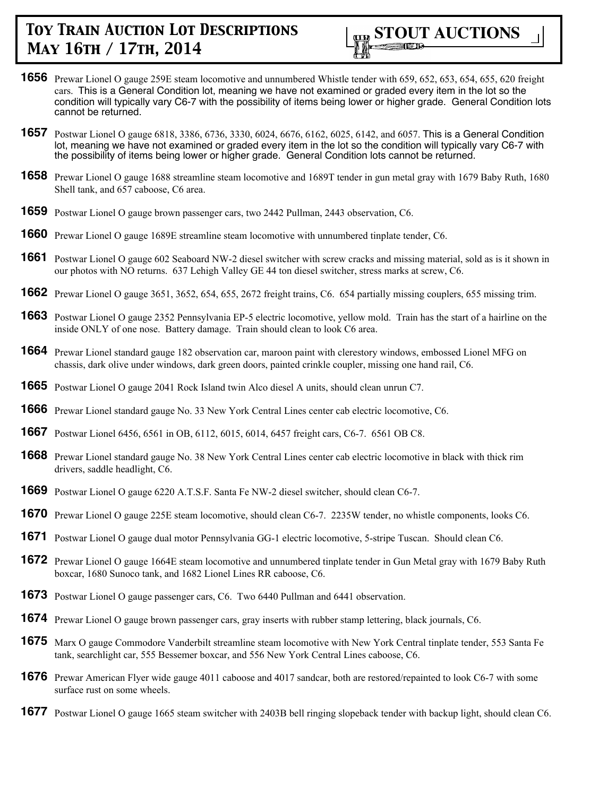

- **1656** Prewar Lionel O gauge 259E steam locomotive and unnumbered Whistle tender with 659, 652, 653, 654, 655, 620 freight cars. This is a General Condition lot, meaning we have not examined or graded every item in the lot so the condition will typically vary C6-7 with the possibility of items being lower or higher grade. General Condition lots cannot be returned.
- **1657** Postwar Lionel O gauge 6818, 3386, 6736, 3330, 6024, 6676, 6162, 6025, 6142, and 6057. This is a General Condition lot, meaning we have not examined or graded every item in the lot so the condition will typically vary C6-7 with the possibility of items being lower or higher grade. General Condition lots cannot be returned.
- **1658** Prewar Lionel O gauge 1688 streamline steam locomotive and 1689T tender in gun metal gray with 1679 Baby Ruth, 1680 Shell tank, and 657 caboose, C6 area.
- **1659** Postwar Lionel O gauge brown passenger cars, two 2442 Pullman, 2443 observation, C6.
- **1660** Prewar Lionel O gauge 1689E streamline steam locomotive with unnumbered tinplate tender, C6.
- **1661** Postwar Lionel O gauge 602 Seaboard NW-2 diesel switcher with screw cracks and missing material, sold as is it shown in our photos with NO returns. 637 Lehigh Valley GE 44 ton diesel switcher, stress marks at screw, C6.
- **1662** Prewar Lionel O gauge 3651, 3652, 654, 655, 2672 freight trains, C6. 654 partially missing couplers, 655 missing trim.
- **1663** Postwar Lionel O gauge 2352 Pennsylvania EP-5 electric locomotive, yellow mold. Train has the start of a hairline on the inside ONLY of one nose. Battery damage. Train should clean to look C6 area.
- **1664** Prewar Lionel standard gauge 182 observation car, maroon paint with clerestory windows, embossed Lionel MFG on chassis, dark olive under windows, dark green doors, painted crinkle coupler, missing one hand rail, C6.
- **1665** Postwar Lionel O gauge 2041 Rock Island twin Alco diesel A units, should clean unrun C7.
- **1666** Prewar Lionel standard gauge No. 33 New York Central Lines center cab electric locomotive, C6.
- **1667** Postwar Lionel 6456, 6561 in OB, 6112, 6015, 6014, 6457 freight cars, C6-7. 6561 OB C8.
- **1668** Prewar Lionel standard gauge No. 38 New York Central Lines center cab electric locomotive in black with thick rim drivers, saddle headlight, C6.
- **1669** Postwar Lionel O gauge 6220 A.T.S.F. Santa Fe NW-2 diesel switcher, should clean C6-7.
- **1670** Prewar Lionel O gauge 225E steam locomotive, should clean C6-7. 2235W tender, no whistle components, looks C6.
- **1671** Postwar Lionel O gauge dual motor Pennsylvania GG-1 electric locomotive, 5-stripe Tuscan. Should clean C6.
- **1672** Prewar Lionel O gauge 1664E steam locomotive and unnumbered tinplate tender in Gun Metal gray with 1679 Baby Ruth boxcar, 1680 Sunoco tank, and 1682 Lionel Lines RR caboose, C6.
- **1673** Postwar Lionel O gauge passenger cars, C6. Two 6440 Pullman and 6441 observation.
- **1674** Prewar Lionel O gauge brown passenger cars, gray inserts with rubber stamp lettering, black journals, C6.
- **1675** Marx O gauge Commodore Vanderbilt streamline steam locomotive with New York Central tinplate tender, 553 Santa Fe tank, searchlight car, 555 Bessemer boxcar, and 556 New York Central Lines caboose, C6.
- **1676** Prewar American Flyer wide gauge 4011 caboose and 4017 sandcar, both are restored/repainted to look C6-7 with some surface rust on some wheels.
- **1677** Postwar Lionel O gauge 1665 steam switcher with 2403B bell ringing slopeback tender with backup light, should clean C6.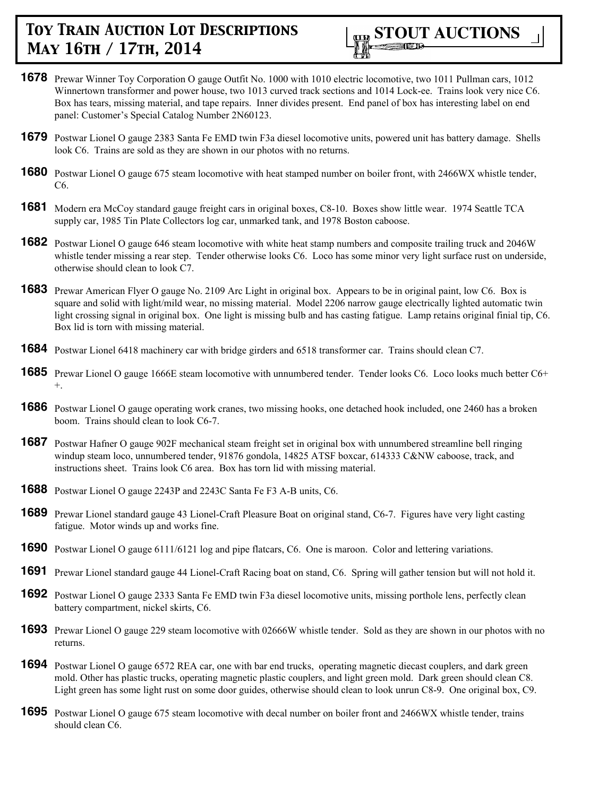

- **1678** Prewar Winner Toy Corporation O gauge Outfit No. 1000 with 1010 electric locomotive, two 1011 Pullman cars, 1012 Winnertown transformer and power house, two 1013 curved track sections and 1014 Lock-ee. Trains look very nice C6. Box has tears, missing material, and tape repairs. Inner divides present. End panel of box has interesting label on end panel: Customer's Special Catalog Number 2N60123.
- **1679** Postwar Lionel O gauge 2383 Santa Fe EMD twin F3a diesel locomotive units, powered unit has battery damage. Shells look C6. Trains are sold as they are shown in our photos with no returns.
- **1680** Postwar Lionel O gauge 675 steam locomotive with heat stamped number on boiler front, with 2466WX whistle tender, C6.
- **1681** Modern era McCoy standard gauge freight cars in original boxes, C8-10. Boxes show little wear. 1974 Seattle TCA supply car, 1985 Tin Plate Collectors log car, unmarked tank, and 1978 Boston caboose.
- **1682** Postwar Lionel O gauge 646 steam locomotive with white heat stamp numbers and composite trailing truck and 2046W whistle tender missing a rear step. Tender otherwise looks C6. Loco has some minor very light surface rust on underside, otherwise should clean to look C7.
- **1683** Prewar American Flyer O gauge No. 2109 Arc Light in original box. Appears to be in original paint, low C6. Box is square and solid with light/mild wear, no missing material. Model 2206 narrow gauge electrically lighted automatic twin light crossing signal in original box. One light is missing bulb and has casting fatigue. Lamp retains original finial tip, C6. Box lid is torn with missing material.
- **1684** Postwar Lionel 6418 machinery car with bridge girders and 6518 transformer car. Trains should clean C7.
- **1685** Prewar Lionel O gauge 1666E steam locomotive with unnumbered tender. Tender looks C6. Loco looks much better C6+ +.
- **1686** Postwar Lionel O gauge operating work cranes, two missing hooks, one detached hook included, one 2460 has a broken boom. Trains should clean to look C6-7.
- **1687** Postwar Hafner O gauge 902F mechanical steam freight set in original box with unnumbered streamline bell ringing windup steam loco, unnumbered tender, 91876 gondola, 14825 ATSF boxcar, 614333 C&NW caboose, track, and instructions sheet. Trains look C6 area. Box has torn lid with missing material.
- **1688** Postwar Lionel O gauge 2243P and 2243C Santa Fe F3 A-B units, C6.
- **1689** Prewar Lionel standard gauge 43 Lionel-Craft Pleasure Boat on original stand, C6-7. Figures have very light casting fatigue. Motor winds up and works fine.
- **1690** Postwar Lionel O gauge 6111/6121 log and pipe flatcars, C6. One is maroon. Color and lettering variations.
- **1691** Prewar Lionel standard gauge 44 Lionel-Craft Racing boat on stand, C6. Spring will gather tension but will not hold it.
- **1692** Postwar Lionel O gauge 2333 Santa Fe EMD twin F3a diesel locomotive units, missing porthole lens, perfectly clean battery compartment, nickel skirts, C6.
- **1693** Prewar Lionel O gauge 229 steam locomotive with 02666W whistle tender. Sold as they are shown in our photos with no returns.
- **1694** Postwar Lionel O gauge 6572 REA car, one with bar end trucks, operating magnetic diecast couplers, and dark green mold. Other has plastic trucks, operating magnetic plastic couplers, and light green mold. Dark green should clean C8. Light green has some light rust on some door guides, otherwise should clean to look unrun C8-9. One original box, C9.
- **1695** Postwar Lionel O gauge 675 steam locomotive with decal number on boiler front and 2466WX whistle tender, trains should clean C6.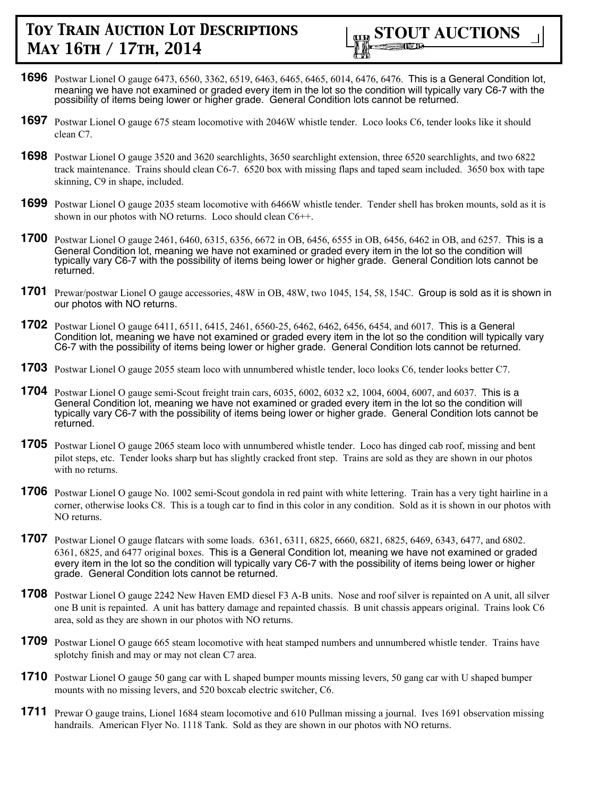

- **1696** Postwar Lionel O gauge 6473, 6560, 3362, 6519, 6463, 6465, 6465, 6014, 6476, 6476. This is a General Condition lot, meaning we have not examined or graded every item in the lot so the condition will typically vary C6-7 with the possibility of items being lower or higher grade. General Condition lots cannot be returned.
- **1697** Postwar Lionel O gauge 675 steam locomotive with 2046W whistle tender. Loco looks C6, tender looks like it should clean C7.
- **1698** Postwar Lionel O gauge 3520 and 3620 searchlights, 3650 searchlight extension, three 6520 searchlights, and two 6822 track maintenance. Trains should clean C6-7. 6520 box with missing flaps and taped seam included. 3650 box with tape skinning, C9 in shape, included.
- **1699** Postwar Lionel O gauge 2035 steam locomotive with 6466W whistle tender. Tender shell has broken mounts, sold as it is shown in our photos with NO returns. Loco should clean C6++.
- **1700** Postwar Lionel O gauge 2461, 6460, 6315, 6356, 6672 in OB, 6456, 6555 in OB, 6456, 6462 in OB, and 6257. This is a General Condition lot, meaning we have not examined or graded every item in the lot so the condition will typically vary C6-7 with the possibility of items being lower or higher grade. General Condition lots cannot be returned.
- **1701** Prewar/postwar Lionel O gauge accessories, 48W in OB, 48W, two 1045, 154, 58, 154C. Group is sold as it is shown in our photos with NO returns.
- **1702** Postwar Lionel O gauge 6411, 6511, 6415, 2461, 6560-25, 6462, 6462, 6456, 6454, and 6017. This is a General Condition lot, meaning we have not examined or graded every item in the lot so the condition will typically vary C6-7 with the possibility of items being lower or higher grade. General Condition lots cannot be returned.
- **1703** Postwar Lionel O gauge 2055 steam loco with unnumbered whistle tender, loco looks C6, tender looks better C7.
- **1704** Postwar Lionel O gauge semi-Scout freight train cars, 6035, 6002, 6032 x2, 1004, 6004, 6007, and 6037. This is a General Condition lot, meaning we have not examined or graded every item in the lot so the condition will typically vary C6-7 with the possibility of items being lower or higher grade. General Condition lots cannot be returned.
- **1705** Postwar Lionel O gauge 2065 steam loco with unnumbered whistle tender. Loco has dinged cab roof, missing and bent pilot steps, etc. Tender looks sharp but has slightly cracked front step. Trains are sold as they are shown in our photos with no returns.
- **1706** Postwar Lionel O gauge No. 1002 semi-Scout gondola in red paint with white lettering. Train has a very tight hairline in a corner, otherwise looks C8. This is a tough car to find in this color in any condition. Sold as it is shown in our photos with NO returns.
- **1707** Postwar Lionel O gauge flatcars with some loads. 6361, 6311, 6825, 6660, 6821, 6825, 6469, 6343, 6477, and 6802. 6361, 6825, and 6477 original boxes. This is a General Condition lot, meaning we have not examined or graded every item in the lot so the condition will typically vary C6-7 with the possibility of items being lower or higher grade. General Condition lots cannot be returned.
- **1708** Postwar Lionel O gauge 2242 New Haven EMD diesel F3 A-B units. Nose and roof silver is repainted on A unit, all silver one B unit is repainted. A unit has battery damage and repainted chassis. B unit chassis appears original. Trains look C6 area, sold as they are shown in our photos with NO returns.
- **1709** Postwar Lionel O gauge 665 steam locomotive with heat stamped numbers and unnumbered whistle tender. Trains have splotchy finish and may or may not clean C7 area.
- **1710** Postwar Lionel O gauge 50 gang car with L shaped bumper mounts missing levers, 50 gang car with U shaped bumper mounts with no missing levers, and 520 boxcab electric switcher, C6.
- **1711** Prewar O gauge trains, Lionel 1684 steam locomotive and 610 Pullman missing a journal. Ives 1691 observation missing handrails. American Flyer No. 1118 Tank. Sold as they are shown in our photos with NO returns.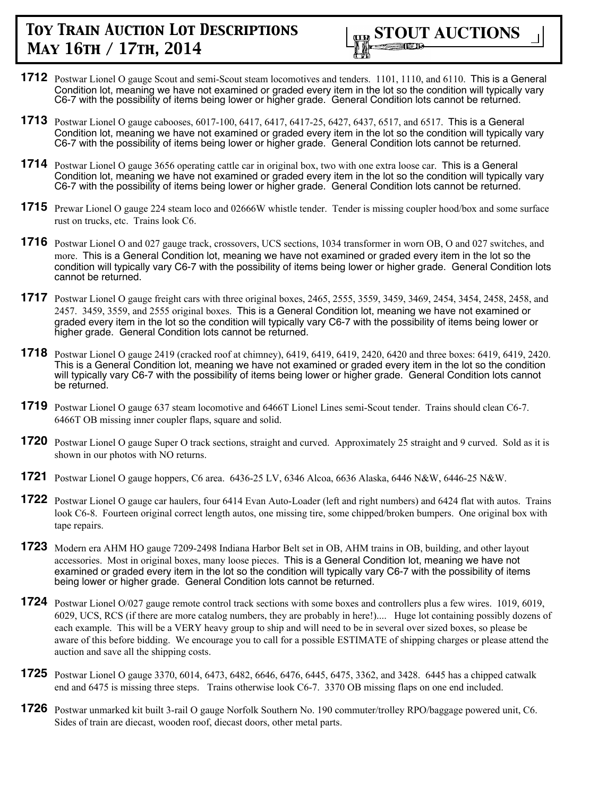

- **1712** Postwar Lionel O gauge Scout and semi-Scout steam locomotives and tenders. 1101, 1110, and 6110. This is a General Condition lot, meaning we have not examined or graded every item in the lot so the condition will typically vary C6-7 with the possibility of items being lower or higher grade. General Condition lots cannot be returned.
- **1713** Postwar Lionel O gauge cabooses, 6017-100, 6417, 6417, 6417-25, 6427, 6437, 6517, and 6517. This is a General Condition lot, meaning we have not examined or graded every item in the lot so the condition will typically vary C6-7 with the possibility of items being lower or higher grade. General Condition lots cannot be returned.
- **1714** Postwar Lionel O gauge 3656 operating cattle car in original box, two with one extra loose car. This is a General Condition lot, meaning we have not examined or graded every item in the lot so the condition will typically vary C6-7 with the possibility of items being lower or higher grade. General Condition lots cannot be returned.
- **1715** Prewar Lionel O gauge 224 steam loco and 02666W whistle tender. Tender is missing coupler hood/box and some surface rust on trucks, etc. Trains look C6.
- **1716** Postwar Lionel O and 027 gauge track, crossovers, UCS sections, 1034 transformer in worn OB, O and 027 switches, and more. This is a General Condition lot, meaning we have not examined or graded every item in the lot so the condition will typically vary C6-7 with the possibility of items being lower or higher grade. General Condition lots cannot be returned.
- **1717** Postwar Lionel O gauge freight cars with three original boxes, 2465, 2555, 3559, 3459, 3469, 2454, 3454, 2458, 2458, and 2457. 3459, 3559, and 2555 original boxes. This is a General Condition lot, meaning we have not examined or graded every item in the lot so the condition will typically vary C6-7 with the possibility of items being lower or higher grade. General Condition lots cannot be returned.
- **1718** Postwar Lionel O gauge 2419 (cracked roof at chimney), 6419, 6419, 6419, 2420, 6420 and three boxes: 6419, 6419, 2420. This is a General Condition lot, meaning we have not examined or graded every item in the lot so the condition will typically vary C6-7 with the possibility of items being lower or higher grade. General Condition lots cannot be returned.
- **1719** Postwar Lionel O gauge 637 steam locomotive and 6466T Lionel Lines semi-Scout tender. Trains should clean C6-7. 6466T OB missing inner coupler flaps, square and solid.
- **1720** Postwar Lionel O gauge Super O track sections, straight and curved. Approximately 25 straight and 9 curved. Sold as it is shown in our photos with NO returns.
- **1721** Postwar Lionel O gauge hoppers, C6 area. 6436-25 LV, 6346 Alcoa, 6636 Alaska, 6446 N&W, 6446-25 N&W.
- **1722** Postwar Lionel O gauge car haulers, four 6414 Evan Auto-Loader (left and right numbers) and 6424 flat with autos. Trains look C6-8. Fourteen original correct length autos, one missing tire, some chipped/broken bumpers. One original box with tape repairs.
- **1723** Modern era AHM HO gauge 7209-2498 Indiana Harbor Belt set in OB, AHM trains in OB, building, and other layout accessories. Most in original boxes, many loose pieces. This is a General Condition lot, meaning we have not examined or graded every item in the lot so the condition will typically vary C6-7 with the possibility of items being lower or higher grade. General Condition lots cannot be returned.
- **1724** Postwar Lionel O/027 gauge remote control track sections with some boxes and controllers plus a few wires. 1019, 6019, 6029, UCS, RCS (if there are more catalog numbers, they are probably in here!).... Huge lot containing possibly dozens of each example. This will be a VERY heavy group to ship and will need to be in several over sized boxes, so please be aware of this before bidding. We encourage you to call for a possible ESTIMATE of shipping charges or please attend the auction and save all the shipping costs.
- **1725** Postwar Lionel O gauge 3370, 6014, 6473, 6482, 6646, 6476, 6445, 6475, 3362, and 3428. 6445 has a chipped catwalk end and 6475 is missing three steps. Trains otherwise look C6-7. 3370 OB missing flaps on one end included.
- **1726** Postwar unmarked kit built 3-rail O gauge Norfolk Southern No. 190 commuter/trolley RPO/baggage powered unit, C6. Sides of train are diecast, wooden roof, diecast doors, other metal parts.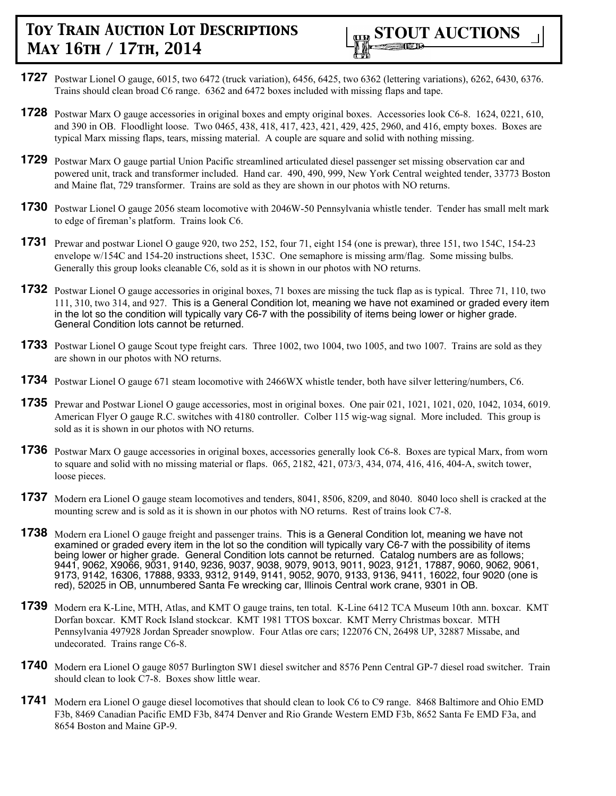

- **1727** Postwar Lionel O gauge, 6015, two 6472 (truck variation), 6456, 6425, two 6362 (lettering variations), 6262, 6430, 6376. Trains should clean broad C6 range. 6362 and 6472 boxes included with missing flaps and tape.
- **1728** Postwar Marx O gauge accessories in original boxes and empty original boxes. Accessories look C6-8. 1624, 0221, 610, and 390 in OB. Floodlight loose. Two 0465, 438, 418, 417, 423, 421, 429, 425, 2960, and 416, empty boxes. Boxes are typical Marx missing flaps, tears, missing material. A couple are square and solid with nothing missing.
- **1729** Postwar Marx O gauge partial Union Pacific streamlined articulated diesel passenger set missing observation car and powered unit, track and transformer included. Hand car. 490, 490, 999, New York Central weighted tender, 33773 Boston and Maine flat, 729 transformer. Trains are sold as they are shown in our photos with NO returns.
- **1730** Postwar Lionel O gauge 2056 steam locomotive with 2046W-50 Pennsylvania whistle tender. Tender has small melt mark to edge of fireman's platform. Trains look C6.
- **1731** Prewar and postwar Lionel O gauge 920, two 252, 152, four 71, eight 154 (one is prewar), three 151, two 154C, 154-23 envelope w/154C and 154-20 instructions sheet, 153C. One semaphore is missing arm/flag. Some missing bulbs. Generally this group looks cleanable C6, sold as it is shown in our photos with NO returns.
- **1732** Postwar Lionel O gauge accessories in original boxes, 71 boxes are missing the tuck flap as is typical. Three 71, 110, two 111, 310, two 314, and 927. This is a General Condition lot, meaning we have not examined or graded every item in the lot so the condition will typically vary C6-7 with the possibility of items being lower or higher grade. General Condition lots cannot be returned.
- **1733** Postwar Lionel O gauge Scout type freight cars. Three 1002, two 1004, two 1005, and two 1007. Trains are sold as they are shown in our photos with NO returns.
- **1734** Postwar Lionel O gauge 671 steam locomotive with 2466WX whistle tender, both have silver lettering/numbers, C6.
- **1735** Prewar and Postwar Lionel O gauge accessories, most in original boxes. One pair 021, 1021, 1021, 020, 1042, 1034, 6019. American Flyer O gauge R.C. switches with 4180 controller. Colber 115 wig-wag signal. More included. This group is sold as it is shown in our photos with NO returns.
- **1736** Postwar Marx O gauge accessories in original boxes, accessories generally look C6-8. Boxes are typical Marx, from worn to square and solid with no missing material or flaps. 065, 2182, 421, 073/3, 434, 074, 416, 416, 404-A, switch tower, loose pieces.
- **1737** Modern era Lionel O gauge steam locomotives and tenders, 8041, 8506, 8209, and 8040. 8040 loco shell is cracked at the mounting screw and is sold as it is shown in our photos with NO returns. Rest of trains look C7-8.
- **1738** Modern era Lionel O gauge freight and passenger trains. This is a General Condition lot, meaning we have not examined or graded every item in the lot so the condition will typically vary C6-7 with the possibility of items being lower or higher grade. General Condition lots cannot be returned. Catalog numbers are as follows; 9441, 9062, X9066, 9031, 9140, 9236, 9037, 9038, 9079, 9013, 9011, 9023, 9121, 17887, 9060, 9062, 9061, 9173, 9142, 16306, 17888, 9333, 9312, 9149, 9141, 9052, 9070, 9133, 9136, 9411, 16022, four 9020 (one is red), 52025 in OB, unnumbered Santa Fe wrecking car, Illinois Central work crane, 9301 in OB.
- **1739** Modern era K-Line, MTH, Atlas, and KMT O gauge trains, ten total. K-Line 6412 TCA Museum 10th ann. boxcar. KMT Dorfan boxcar. KMT Rock Island stockcar. KMT 1981 TTOS boxcar. KMT Merry Christmas boxcar. MTH Pennsylvania 497928 Jordan Spreader snowplow. Four Atlas ore cars; 122076 CN, 26498 UP, 32887 Missabe, and undecorated. Trains range C6-8.
- **1740** Modern era Lionel O gauge 8057 Burlington SW1 diesel switcher and 8576 Penn Central GP-7 diesel road switcher. Train should clean to look C7-8. Boxes show little wear.
- **1741** Modern era Lionel O gauge diesel locomotives that should clean to look C6 to C9 range. 8468 Baltimore and Ohio EMD F3b, 8469 Canadian Pacific EMD F3b, 8474 Denver and Rio Grande Western EMD F3b, 8652 Santa Fe EMD F3a, and 8654 Boston and Maine GP-9.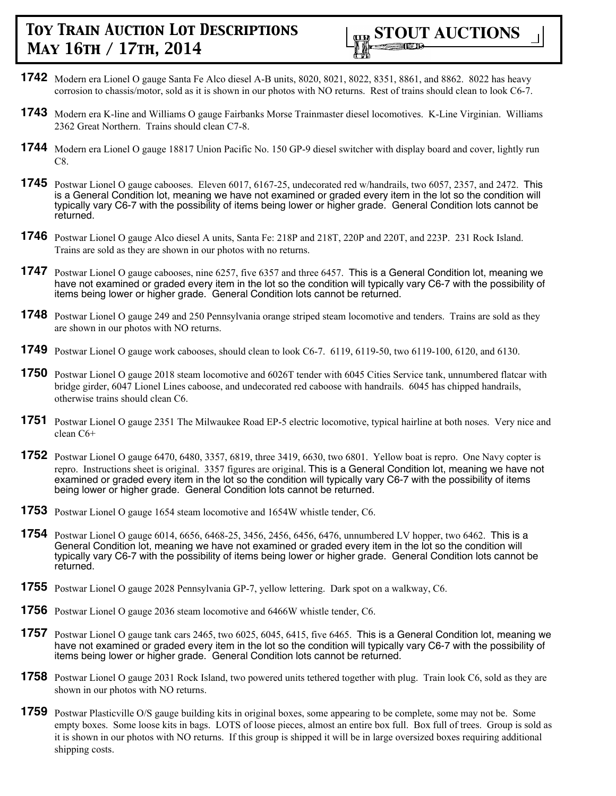

- **1742** Modern era Lionel O gauge Santa Fe Alco diesel A-B units, 8020, 8021, 8022, 8351, 8861, and 8862. 8022 has heavy corrosion to chassis/motor, sold as it is shown in our photos with NO returns. Rest of trains should clean to look C6-7.
- **1743** Modern era K-line and Williams O gauge Fairbanks Morse Trainmaster diesel locomotives. K-Line Virginian. Williams 2362 Great Northern. Trains should clean C7-8.
- **1744** Modern era Lionel O gauge 18817 Union Pacific No. 150 GP-9 diesel switcher with display board and cover, lightly run C8.
- **1745** Postwar Lionel O gauge cabooses. Eleven 6017, 6167-25, undecorated red w/handrails, two 6057, 2357, and 2472. This is a General Condition lot, meaning we have not examined or graded every item in the lot so the condition will typically vary C6-7 with the possibility of items being lower or higher grade. General Condition lots cannot be returned.
- **1746** Postwar Lionel O gauge Alco diesel A units, Santa Fe: 218P and 218T, 220P and 220T, and 223P. 231 Rock Island. Trains are sold as they are shown in our photos with no returns.
- **1747** Postwar Lionel O gauge cabooses, nine 6257, five 6357 and three 6457. This is a General Condition lot, meaning we have not examined or graded every item in the lot so the condition will typically vary C6-7 with the possibility of items being lower or higher grade. General Condition lots cannot be returned.
- **1748** Postwar Lionel O gauge 249 and 250 Pennsylvania orange striped steam locomotive and tenders. Trains are sold as they are shown in our photos with NO returns.
- **1749** Postwar Lionel O gauge work cabooses, should clean to look C6-7. 6119, 6119-50, two 6119-100, 6120, and 6130.
- **1750** Postwar Lionel O gauge 2018 steam locomotive and 6026T tender with 6045 Cities Service tank, unnumbered flatcar with bridge girder, 6047 Lionel Lines caboose, and undecorated red caboose with handrails. 6045 has chipped handrails, otherwise trains should clean C6.
- **1751** Postwar Lionel O gauge 2351 The Milwaukee Road EP-5 electric locomotive, typical hairline at both noses. Very nice and clean C6+
- **1752** Postwar Lionel O gauge 6470, 6480, 3357, 6819, three 3419, 6630, two 6801. Yellow boat is repro. One Navy copter is repro. Instructions sheet is original. 3357 figures are original. This is a General Condition lot, meaning we have not examined or graded every item in the lot so the condition will typically vary C6-7 with the possibility of items being lower or higher grade. General Condition lots cannot be returned.
- **1753** Postwar Lionel O gauge 1654 steam locomotive and 1654W whistle tender, C6.
- **1754** Postwar Lionel O gauge 6014, 6656, 6468-25, 3456, 2456, 6456, 6476, unnumbered LV hopper, two 6462. This is a General Condition lot, meaning we have not examined or graded every item in the lot so the condition will typically vary C6-7 with the possibility of items being lower or higher grade. General Condition lots cannot be returned.
- **1755** Postwar Lionel O gauge 2028 Pennsylvania GP-7, yellow lettering. Dark spot on a walkway, C6.
- **1756** Postwar Lionel O gauge 2036 steam locomotive and 6466W whistle tender, C6.
- **1757** Postwar Lionel O gauge tank cars 2465, two 6025, 6045, 6415, five 6465. This is a General Condition lot, meaning we have not examined or graded every item in the lot so the condition will typically vary C6-7 with the possibility of items being lower or higher grade. General Condition lots cannot be returned.
- **1758** Postwar Lionel O gauge 2031 Rock Island, two powered units tethered together with plug. Train look C6, sold as they are shown in our photos with NO returns.
- **1759** Postwar Plasticville O/S gauge building kits in original boxes, some appearing to be complete, some may not be. Some empty boxes. Some loose kits in bags. LOTS of loose pieces, almost an entire box full. Box full of trees. Group is sold as it is shown in our photos with NO returns. If this group is shipped it will be in large oversized boxes requiring additional shipping costs.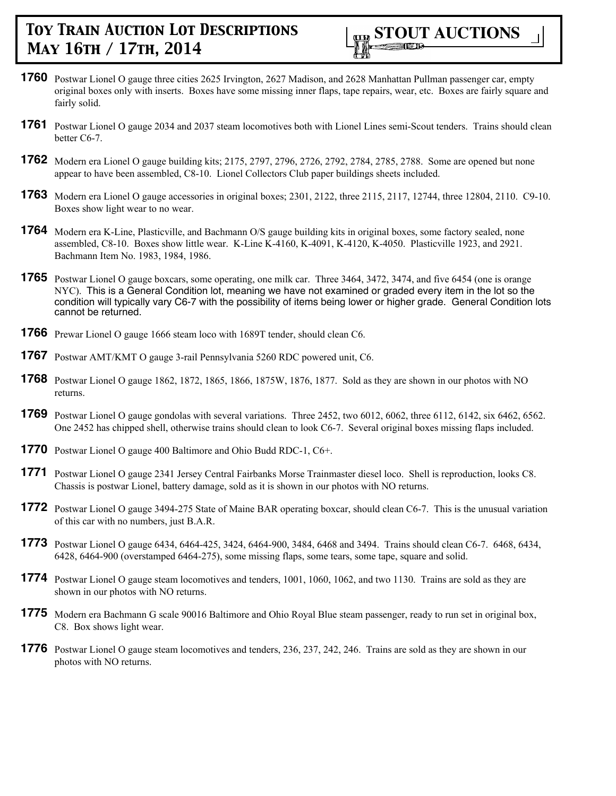

- **1760** Postwar Lionel O gauge three cities 2625 Irvington, 2627 Madison, and 2628 Manhattan Pullman passenger car, empty original boxes only with inserts. Boxes have some missing inner flaps, tape repairs, wear, etc. Boxes are fairly square and fairly solid.
- **1761** Postwar Lionel O gauge 2034 and 2037 steam locomotives both with Lionel Lines semi-Scout tenders. Trains should clean better C6-7.
- **1762** Modern era Lionel O gauge building kits; 2175, 2797, 2796, 2726, 2792, 2784, 2785, 2788. Some are opened but none appear to have been assembled, C8-10. Lionel Collectors Club paper buildings sheets included.
- **1763** Modern era Lionel O gauge accessories in original boxes; 2301, 2122, three 2115, 2117, 12744, three 12804, 2110. C9-10. Boxes show light wear to no wear.
- **1764** Modern era K-Line, Plasticville, and Bachmann O/S gauge building kits in original boxes, some factory sealed, none assembled, C8-10. Boxes show little wear. K-Line K-4160, K-4091, K-4120, K-4050. Plasticville 1923, and 2921. Bachmann Item No. 1983, 1984, 1986.
- **1765** Postwar Lionel O gauge boxcars, some operating, one milk car. Three 3464, 3472, 3474, and five 6454 (one is orange NYC). This is a General Condition lot, meaning we have not examined or graded every item in the lot so the condition will typically vary C6-7 with the possibility of items being lower or higher grade. General Condition lots cannot be returned.
- **1766** Prewar Lionel O gauge 1666 steam loco with 1689T tender, should clean C6.
- **1767** Postwar AMT/KMT O gauge 3-rail Pennsylvania 5260 RDC powered unit, C6.
- **1768** Postwar Lionel O gauge 1862, 1872, 1865, 1866, 1875W, 1876, 1877. Sold as they are shown in our photos with NO returns.
- **1769** Postwar Lionel O gauge gondolas with several variations. Three 2452, two 6012, 6062, three 6112, 6142, six 6462, 6562. One 2452 has chipped shell, otherwise trains should clean to look C6-7. Several original boxes missing flaps included.
- **1770** Postwar Lionel O gauge 400 Baltimore and Ohio Budd RDC-1, C6+.
- **1771** Postwar Lionel O gauge 2341 Jersey Central Fairbanks Morse Trainmaster diesel loco. Shell is reproduction, looks C8. Chassis is postwar Lionel, battery damage, sold as it is shown in our photos with NO returns.
- **1772** Postwar Lionel O gauge 3494-275 State of Maine BAR operating boxcar, should clean C6-7. This is the unusual variation of this car with no numbers, just B.A.R.
- **1773** Postwar Lionel O gauge 6434, 6464-425, 3424, 6464-900, 3484, 6468 and 3494. Trains should clean C6-7. 6468, 6434, 6428, 6464-900 (overstamped 6464-275), some missing flaps, some tears, some tape, square and solid.
- **1774** Postwar Lionel O gauge steam locomotives and tenders, 1001, 1060, 1062, and two 1130. Trains are sold as they are shown in our photos with NO returns.
- **1775** Modern era Bachmann G scale 90016 Baltimore and Ohio Royal Blue steam passenger, ready to run set in original box, C8. Box shows light wear.
- **1776** Postwar Lionel O gauge steam locomotives and tenders, 236, 237, 242, 246. Trains are sold as they are shown in our photos with NO returns.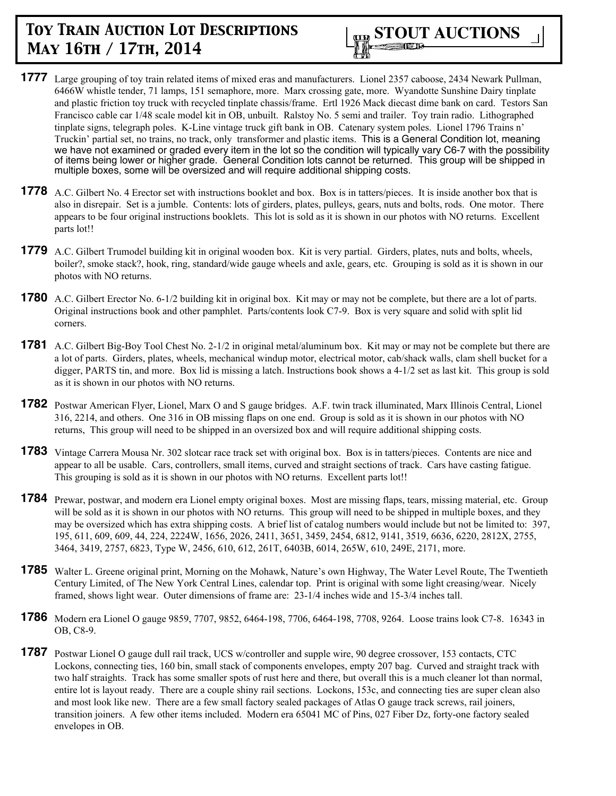

- **1777** Large grouping of toy train related items of mixed eras and manufacturers. Lionel 2357 caboose, 2434 Newark Pullman, 6466W whistle tender, 71 lamps, 151 semaphore, more. Marx crossing gate, more. Wyandotte Sunshine Dairy tinplate and plastic friction toy truck with recycled tinplate chassis/frame. Ertl 1926 Mack diecast dime bank on card. Testors San Francisco cable car 1/48 scale model kit in OB, unbuilt. Ralstoy No. 5 semi and trailer. Toy train radio. Lithographed tinplate signs, telegraph poles. K-Line vintage truck gift bank in OB. Catenary system poles. Lionel 1796 Trains n' Truckin' partial set, no trains, no track, only transformer and plastic items. This is a General Condition lot, meaning we have not examined or graded every item in the lot so the condition will typically vary C6-7 with the possibility of items being lower or higher grade. General Condition lots cannot be returned. This group will be shipped in multiple boxes, some will be oversized and will require additional shipping costs.
- **1778** A.C. Gilbert No. 4 Erector set with instructions booklet and box. Box is in tatters/pieces. It is inside another box that is also in disrepair. Set is a jumble. Contents: lots of girders, plates, pulleys, gears, nuts and bolts, rods. One motor. There appears to be four original instructions booklets. This lot is sold as it is shown in our photos with NO returns. Excellent parts lot!!
- **1779** A.C. Gilbert Trumodel building kit in original wooden box. Kit is very partial. Girders, plates, nuts and bolts, wheels, boiler?, smoke stack?, hook, ring, standard/wide gauge wheels and axle, gears, etc. Grouping is sold as it is shown in our photos with NO returns.
- **1780** A.C. Gilbert Erector No. 6-1/2 building kit in original box. Kit may or may not be complete, but there are a lot of parts. Original instructions book and other pamphlet. Parts/contents look C7-9. Box is very square and solid with split lid corners.
- **1781** A.C. Gilbert Big-Boy Tool Chest No. 2-1/2 in original metal/aluminum box. Kit may or may not be complete but there are a lot of parts. Girders, plates, wheels, mechanical windup motor, electrical motor, cab/shack walls, clam shell bucket for a digger, PARTS tin, and more. Box lid is missing a latch. Instructions book shows a 4-1/2 set as last kit. This group is sold as it is shown in our photos with NO returns.
- **1782** Postwar American Flyer, Lionel, Marx O and S gauge bridges. A.F. twin track illuminated, Marx Illinois Central, Lionel 316, 2214, and others. One 316 in OB missing flaps on one end. Group is sold as it is shown in our photos with NO returns, This group will need to be shipped in an oversized box and will require additional shipping costs.
- **1783** Vintage Carrera Mousa Nr. 302 slotcar race track set with original box. Box is in tatters/pieces. Contents are nice and appear to all be usable. Cars, controllers, small items, curved and straight sections of track. Cars have casting fatigue. This grouping is sold as it is shown in our photos with NO returns. Excellent parts lot!!
- **1784** Prewar, postwar, and modern era Lionel empty original boxes. Most are missing flaps, tears, missing material, etc. Group will be sold as it is shown in our photos with NO returns. This group will need to be shipped in multiple boxes, and they may be oversized which has extra shipping costs. A brief list of catalog numbers would include but not be limited to: 397, 195, 611, 609, 609, 44, 224, 2224W, 1656, 2026, 2411, 3651, 3459, 2454, 6812, 9141, 3519, 6636, 6220, 2812X, 2755, 3464, 3419, 2757, 6823, Type W, 2456, 610, 612, 261T, 6403B, 6014, 265W, 610, 249E, 2171, more.
- **1785** Walter L. Greene original print, Morning on the Mohawk, Nature's own Highway, The Water Level Route, The Twentieth Century Limited, of The New York Central Lines, calendar top. Print is original with some light creasing/wear. Nicely framed, shows light wear. Outer dimensions of frame are: 23-1/4 inches wide and 15-3/4 inches tall.
- **1786** Modern era Lionel O gauge 9859, 7707, 9852, 6464-198, 7706, 6464-198, 7708, 9264. Loose trains look C7-8. 16343 in OB, C8-9.
- **1787** Postwar Lionel O gauge dull rail track, UCS w/controller and supple wire, 90 degree crossover, 153 contacts, CTC Lockons, connecting ties, 160 bin, small stack of components envelopes, empty 207 bag. Curved and straight track with two half straights. Track has some smaller spots of rust here and there, but overall this is a much cleaner lot than normal, entire lot is layout ready. There are a couple shiny rail sections. Lockons, 153c, and connecting ties are super clean also and most look like new. There are a few small factory sealed packages of Atlas O gauge track screws, rail joiners, transition joiners. A few other items included. Modern era 65041 MC of Pins, 027 Fiber Dz, forty-one factory sealed envelopes in OB.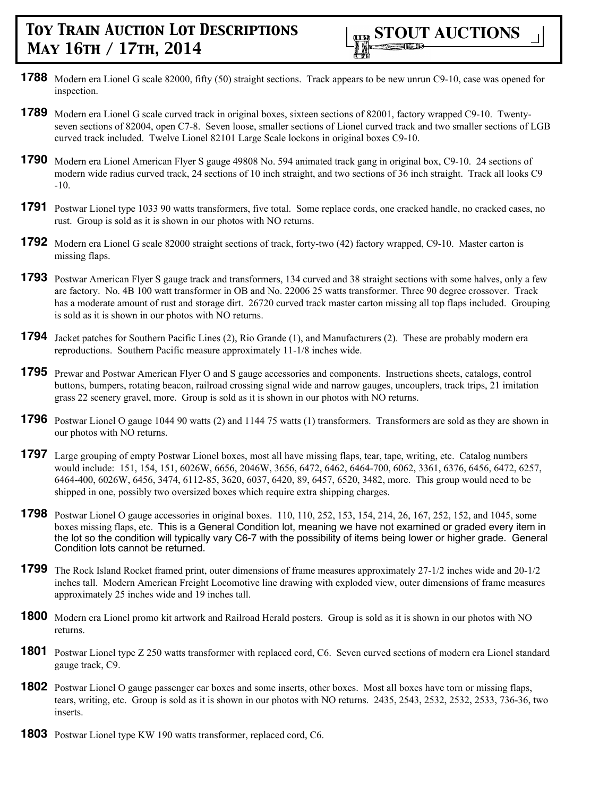

- **1788** Modern era Lionel G scale 82000, fifty (50) straight sections. Track appears to be new unrun C9-10, case was opened for inspection.
- **1789** Modern era Lionel G scale curved track in original boxes, sixteen sections of 82001, factory wrapped C9-10. Twentyseven sections of 82004, open C7-8. Seven loose, smaller sections of Lionel curved track and two smaller sections of LGB curved track included. Twelve Lionel 82101 Large Scale lockons in original boxes C9-10.
- **1790** Modern era Lionel American Flyer S gauge 49808 No. 594 animated track gang in original box, C9-10. 24 sections of modern wide radius curved track, 24 sections of 10 inch straight, and two sections of 36 inch straight. Track all looks C9 -10.
- **1791** Postwar Lionel type 1033 90 watts transformers, five total. Some replace cords, one cracked handle, no cracked cases, no rust. Group is sold as it is shown in our photos with NO returns.
- **1792** Modern era Lionel G scale 82000 straight sections of track, forty-two (42) factory wrapped, C9-10. Master carton is missing flaps.
- **1793** Postwar American Flyer S gauge track and transformers, 134 curved and 38 straight sections with some halves, only a few are factory. No. 4B 100 watt transformer in OB and No. 22006 25 watts transformer. Three 90 degree crossover. Track has a moderate amount of rust and storage dirt. 26720 curved track master carton missing all top flaps included. Grouping is sold as it is shown in our photos with NO returns.
- **1794** Jacket patches for Southern Pacific Lines (2), Rio Grande (1), and Manufacturers (2). These are probably modern era reproductions. Southern Pacific measure approximately 11-1/8 inches wide.
- **1795** Prewar and Postwar American Flyer O and S gauge accessories and components. Instructions sheets, catalogs, control buttons, bumpers, rotating beacon, railroad crossing signal wide and narrow gauges, uncouplers, track trips, 21 imitation grass 22 scenery gravel, more. Group is sold as it is shown in our photos with NO returns.
- **1796** Postwar Lionel O gauge 1044 90 watts (2) and 1144 75 watts (1) transformers. Transformers are sold as they are shown in our photos with NO returns.
- **1797** Large grouping of empty Postwar Lionel boxes, most all have missing flaps, tear, tape, writing, etc. Catalog numbers would include: 151, 154, 151, 6026W, 6656, 2046W, 3656, 6472, 6462, 6464-700, 6062, 3361, 6376, 6456, 6472, 6257, 6464-400, 6026W, 6456, 3474, 6112-85, 3620, 6037, 6420, 89, 6457, 6520, 3482, more. This group would need to be shipped in one, possibly two oversized boxes which require extra shipping charges.
- **1798** Postwar Lionel O gauge accessories in original boxes. 110, 110, 252, 153, 154, 214, 26, 167, 252, 152, and 1045, some boxes missing flaps, etc. This is a General Condition lot, meaning we have not examined or graded every item in the lot so the condition will typically vary C6-7 with the possibility of items being lower or higher grade. General Condition lots cannot be returned.
- **1799** The Rock Island Rocket framed print, outer dimensions of frame measures approximately 27-1/2 inches wide and 20-1/2 inches tall. Modern American Freight Locomotive line drawing with exploded view, outer dimensions of frame measures approximately 25 inches wide and 19 inches tall.
- **1800** Modern era Lionel promo kit artwork and Railroad Herald posters. Group is sold as it is shown in our photos with NO returns.
- **1801** Postwar Lionel type Z 250 watts transformer with replaced cord, C6. Seven curved sections of modern era Lionel standard gauge track, C9.
- **1802** Postwar Lionel O gauge passenger car boxes and some inserts, other boxes. Most all boxes have torn or missing flaps, tears, writing, etc. Group is sold as it is shown in our photos with NO returns. 2435, 2543, 2532, 2532, 2533, 736-36, two inserts.
- **1803** Postwar Lionel type KW 190 watts transformer, replaced cord, C6.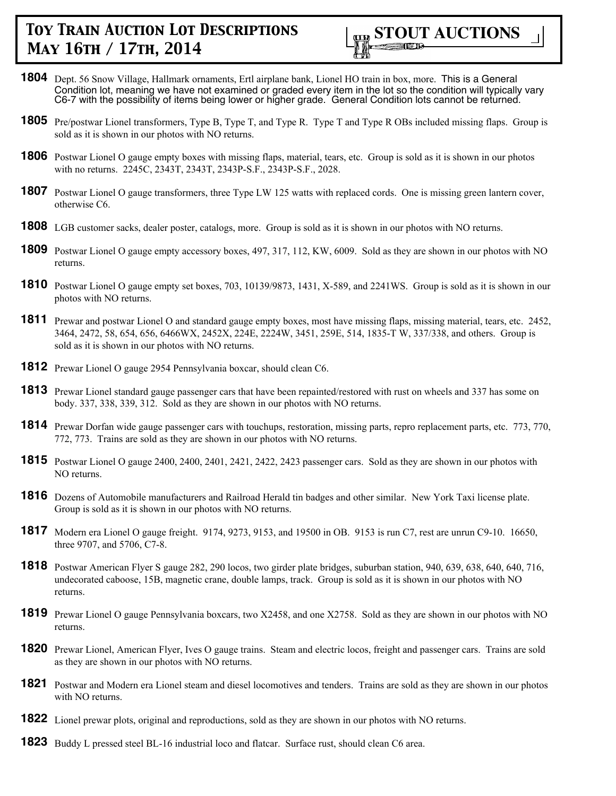

- **1804** Dept. 56 Snow Village, Hallmark ornaments, Ertl airplane bank, Lionel HO train in box, more. This is a General Condition lot, meaning we have not examined or graded every item in the lot so the condition will typically vary C6-7 with the possibility of items being lower or higher grade. General Condition lots cannot be returned.
- **1805** Pre/postwar Lionel transformers, Type B, Type T, and Type R. Type T and Type R OBs included missing flaps. Group is sold as it is shown in our photos with NO returns.
- **1806** Postwar Lionel O gauge empty boxes with missing flaps, material, tears, etc. Group is sold as it is shown in our photos with no returns. 2245C, 2343T, 2343T, 2343P-S.F., 2343P-S.F., 2028.
- **1807** Postwar Lionel O gauge transformers, three Type LW 125 watts with replaced cords. One is missing green lantern cover, otherwise C6.
- **1808** LGB customer sacks, dealer poster, catalogs, more. Group is sold as it is shown in our photos with NO returns.
- **1809** Postwar Lionel O gauge empty accessory boxes, 497, 317, 112, KW, 6009. Sold as they are shown in our photos with NO returns.
- **1810** Postwar Lionel O gauge empty set boxes, 703, 10139/9873, 1431, X-589, and 2241WS. Group is sold as it is shown in our photos with NO returns.
- **1811** Prewar and postwar Lionel O and standard gauge empty boxes, most have missing flaps, missing material, tears, etc. 2452, 3464, 2472, 58, 654, 656, 6466WX, 2452X, 224E, 2224W, 3451, 259E, 514, 1835-T W, 337/338, and others. Group is sold as it is shown in our photos with NO returns.
- **1812** Prewar Lionel O gauge 2954 Pennsylvania boxcar, should clean C6.
- **1813** Prewar Lionel standard gauge passenger cars that have been repainted/restored with rust on wheels and 337 has some on body. 337, 338, 339, 312. Sold as they are shown in our photos with NO returns.
- **1814** Prewar Dorfan wide gauge passenger cars with touchups, restoration, missing parts, repro replacement parts, etc. 773, 770, 772, 773. Trains are sold as they are shown in our photos with NO returns.
- **1815** Postwar Lionel O gauge 2400, 2400, 2401, 2421, 2422, 2423 passenger cars. Sold as they are shown in our photos with NO returns.
- **1816** Dozens of Automobile manufacturers and Railroad Herald tin badges and other similar. New York Taxi license plate. Group is sold as it is shown in our photos with NO returns.
- **1817** Modern era Lionel O gauge freight. 9174, 9273, 9153, and 19500 in OB. 9153 is run C7, rest are unrun C9-10. 16650, three 9707, and 5706, C7-8.
- **1818** Postwar American Flyer S gauge 282, 290 locos, two girder plate bridges, suburban station, 940, 639, 638, 640, 640, 716, undecorated caboose, 15B, magnetic crane, double lamps, track. Group is sold as it is shown in our photos with NO returns.
- **1819** Prewar Lionel O gauge Pennsylvania boxcars, two X2458, and one X2758. Sold as they are shown in our photos with NO returns.
- **1820** Prewar Lionel, American Flyer, Ives O gauge trains. Steam and electric locos, freight and passenger cars. Trains are sold as they are shown in our photos with NO returns.
- **1821** Postwar and Modern era Lionel steam and diesel locomotives and tenders. Trains are sold as they are shown in our photos with NO returns.
- **1822** Lionel prewar plots, original and reproductions, sold as they are shown in our photos with NO returns.
- **1823** Buddy L pressed steel BL-16 industrial loco and flatcar. Surface rust, should clean C6 area.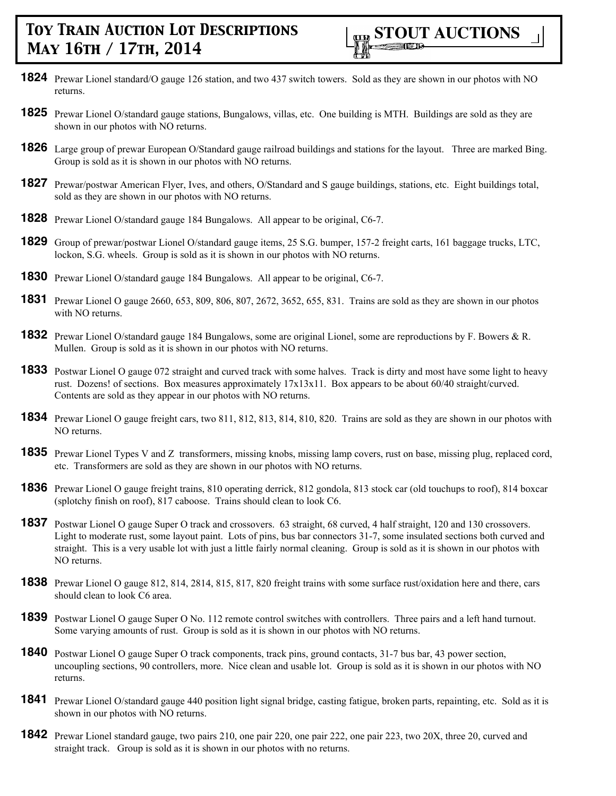- **1824** Prewar Lionel standard/O gauge 126 station, and two 437 switch towers. Sold as they are shown in our photos with NO returns.
- **1825** Prewar Lionel O/standard gauge stations, Bungalows, villas, etc. One building is MTH. Buildings are sold as they are shown in our photos with NO returns.
- **1826** Large group of prewar European O/Standard gauge railroad buildings and stations for the layout. Three are marked Bing. Group is sold as it is shown in our photos with NO returns.
- **1827** Prewar/postwar American Flyer, Ives, and others, O/Standard and S gauge buildings, stations, etc. Eight buildings total, sold as they are shown in our photos with NO returns.
- **1828** Prewar Lionel O/standard gauge 184 Bungalows. All appear to be original, C6-7.
- **1829** Group of prewar/postwar Lionel O/standard gauge items, 25 S.G. bumper, 157-2 freight carts, 161 baggage trucks, LTC, lockon, S.G. wheels. Group is sold as it is shown in our photos with NO returns.
- **1830** Prewar Lionel O/standard gauge 184 Bungalows. All appear to be original, C6-7.
- **1831** Prewar Lionel O gauge 2660, 653, 809, 806, 807, 2672, 3652, 655, 831. Trains are sold as they are shown in our photos with NO returns.
- **1832** Prewar Lionel O/standard gauge 184 Bungalows, some are original Lionel, some are reproductions by F. Bowers & R. Mullen. Group is sold as it is shown in our photos with NO returns.
- **1833** Postwar Lionel O gauge 072 straight and curved track with some halves. Track is dirty and most have some light to heavy rust. Dozens! of sections. Box measures approximately 17x13x11. Box appears to be about 60/40 straight/curved. Contents are sold as they appear in our photos with NO returns.
- **1834** Prewar Lionel O gauge freight cars, two 811, 812, 813, 814, 810, 820. Trains are sold as they are shown in our photos with NO returns.
- **1835** Prewar Lionel Types V and Z transformers, missing knobs, missing lamp covers, rust on base, missing plug, replaced cord, etc. Transformers are sold as they are shown in our photos with NO returns.
- **1836** Prewar Lionel O gauge freight trains, 810 operating derrick, 812 gondola, 813 stock car (old touchups to roof), 814 boxcar (splotchy finish on roof), 817 caboose. Trains should clean to look C6.
- **1837** Postwar Lionel O gauge Super O track and crossovers. 63 straight, 68 curved, 4 half straight, 120 and 130 crossovers. Light to moderate rust, some layout paint. Lots of pins, bus bar connectors 31-7, some insulated sections both curved and straight. This is a very usable lot with just a little fairly normal cleaning. Group is sold as it is shown in our photos with NO returns.
- **1838** Prewar Lionel O gauge 812, 814, 2814, 815, 817, 820 freight trains with some surface rust/oxidation here and there, cars should clean to look C6 area.
- **1839** Postwar Lionel O gauge Super O No. 112 remote control switches with controllers. Three pairs and a left hand turnout. Some varying amounts of rust. Group is sold as it is shown in our photos with NO returns.
- **1840** Postwar Lionel O gauge Super O track components, track pins, ground contacts, 31-7 bus bar, 43 power section, uncoupling sections, 90 controllers, more. Nice clean and usable lot. Group is sold as it is shown in our photos with NO returns.
- **1841** Prewar Lionel O/standard gauge 440 position light signal bridge, casting fatigue, broken parts, repainting, etc. Sold as it is shown in our photos with NO returns.
- **1842** Prewar Lionel standard gauge, two pairs 210, one pair 220, one pair 222, one pair 223, two 20X, three 20, curved and straight track. Group is sold as it is shown in our photos with no returns.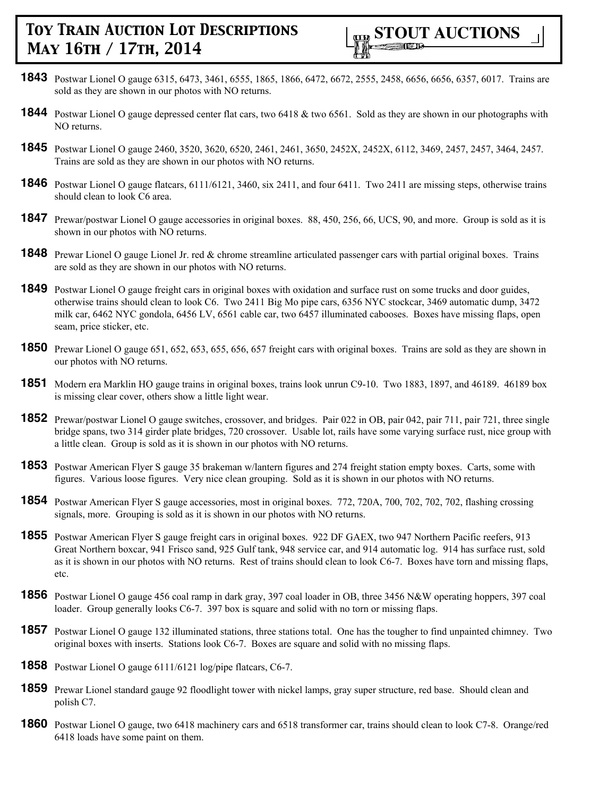- **1843** Postwar Lionel O gauge 6315, 6473, 3461, 6555, 1865, 1866, 6472, 6672, 2555, 2458, 6656, 6656, 6357, 6017. Trains are sold as they are shown in our photos with NO returns.
- **1844** Postwar Lionel O gauge depressed center flat cars, two 6418 & two 6561. Sold as they are shown in our photographs with NO returns.
- **1845** Postwar Lionel O gauge 2460, 3520, 3620, 6520, 2461, 2461, 3650, 2452X, 2452X, 6112, 3469, 2457, 2457, 3464, 2457. Trains are sold as they are shown in our photos with NO returns.
- **1846** Postwar Lionel O gauge flatcars, 6111/6121, 3460, six 2411, and four 6411. Two 2411 are missing steps, otherwise trains should clean to look C6 area.
- **1847** Prewar/postwar Lionel O gauge accessories in original boxes. 88, 450, 256, 66, UCS, 90, and more. Group is sold as it is shown in our photos with NO returns.
- **1848** Prewar Lionel O gauge Lionel Jr. red & chrome streamline articulated passenger cars with partial original boxes. Trains are sold as they are shown in our photos with NO returns.
- **1849** Postwar Lionel O gauge freight cars in original boxes with oxidation and surface rust on some trucks and door guides, otherwise trains should clean to look C6. Two 2411 Big Mo pipe cars, 6356 NYC stockcar, 3469 automatic dump, 3472 milk car, 6462 NYC gondola, 6456 LV, 6561 cable car, two 6457 illuminated cabooses. Boxes have missing flaps, open seam, price sticker, etc.
- **1850** Prewar Lionel O gauge 651, 652, 653, 655, 656, 657 freight cars with original boxes. Trains are sold as they are shown in our photos with NO returns.
- **1851** Modern era Marklin HO gauge trains in original boxes, trains look unrun C9-10. Two 1883, 1897, and 46189. 46189 box is missing clear cover, others show a little light wear.
- **1852** Prewar/postwar Lionel O gauge switches, crossover, and bridges. Pair 022 in OB, pair 042, pair 711, pair 721, three single bridge spans, two 314 girder plate bridges, 720 crossover. Usable lot, rails have some varying surface rust, nice group with a little clean. Group is sold as it is shown in our photos with NO returns.
- **1853** Postwar American Flyer S gauge 35 brakeman w/lantern figures and 274 freight station empty boxes. Carts, some with figures. Various loose figures. Very nice clean grouping. Sold as it is shown in our photos with NO returns.
- **1854** Postwar American Flyer S gauge accessories, most in original boxes. 772, 720A, 700, 702, 702, 702, flashing crossing signals, more. Grouping is sold as it is shown in our photos with NO returns.
- **1855** Postwar American Flyer S gauge freight cars in original boxes. 922 DF GAEX, two 947 Northern Pacific reefers, 913 Great Northern boxcar, 941 Frisco sand, 925 Gulf tank, 948 service car, and 914 automatic log. 914 has surface rust, sold as it is shown in our photos with NO returns. Rest of trains should clean to look C6-7. Boxes have torn and missing flaps, etc.
- **1856** Postwar Lionel O gauge 456 coal ramp in dark gray, 397 coal loader in OB, three 3456 N&W operating hoppers, 397 coal loader. Group generally looks C6-7. 397 box is square and solid with no torn or missing flaps.
- **1857** Postwar Lionel O gauge 132 illuminated stations, three stations total. One has the tougher to find unpainted chimney. Two original boxes with inserts. Stations look C6-7. Boxes are square and solid with no missing flaps.
- **1858** Postwar Lionel O gauge 6111/6121 log/pipe flatcars, C6-7.
- **1859** Prewar Lionel standard gauge 92 floodlight tower with nickel lamps, gray super structure, red base. Should clean and polish C7.
- **1860** Postwar Lionel O gauge, two 6418 machinery cars and 6518 transformer car, trains should clean to look C7-8. Orange/red 6418 loads have some paint on them.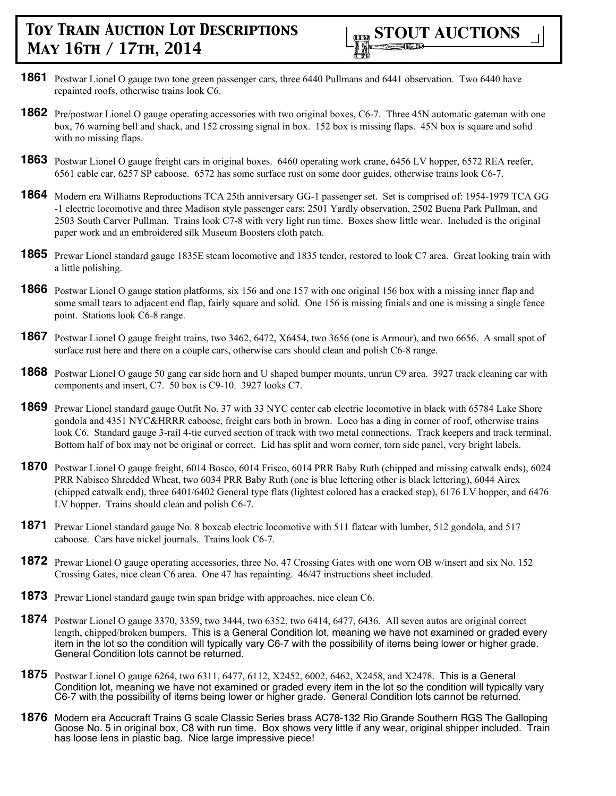

- **1861** Postwar Lionel O gauge two tone green passenger cars, three 6440 Pullmans and 6441 observation. Two 6440 have repainted roofs, otherwise trains look C6.
- **1862** Pre/postwar Lionel O gauge operating accessories with two original boxes, C6-7. Three 45N automatic gateman with one box, 76 warning bell and shack, and 152 crossing signal in box. 152 box is missing flaps. 45N box is square and solid with no missing flaps.
- **1863** Postwar Lionel O gauge freight cars in original boxes. 6460 operating work crane, 6456 LV hopper, 6572 REA reefer, 6561 cable car, 6257 SP caboose. 6572 has some surface rust on some door guides, otherwise trains look C6-7.
- **1864** Modern era Williams Reproductions TCA 25th anniversary GG-1 passenger set. Set is comprised of: 1954-1979 TCA GG -1 electric locomotive and three Madison style passenger cars; 2501 Yardly observation, 2502 Buena Park Pullman, and 2503 South Carver Pullman. Trains look C7-8 with very light run time. Boxes show little wear. Included is the original paper work and an embroidered silk Museum Boosters cloth patch.
- **1865** Prewar Lionel standard gauge 1835E steam locomotive and 1835 tender, restored to look C7 area. Great looking train with a little polishing.
- **1866** Postwar Lionel O gauge station platforms, six 156 and one 157 with one original 156 box with a missing inner flap and some small tears to adjacent end flap, fairly square and solid. One 156 is missing finials and one is missing a single fence point. Stations look C6-8 range.
- **1867** Postwar Lionel O gauge freight trains, two 3462, 6472, X6454, two 3656 (one is Armour), and two 6656. A small spot of surface rust here and there on a couple cars, otherwise cars should clean and polish C6-8 range.
- **1868** Postwar Lionel O gauge 50 gang car side horn and U shaped bumper mounts, unrun C9 area. 3927 track cleaning car with components and insert, C7. 50 box is C9-10. 3927 looks C7.
- **1869** Prewar Lionel standard gauge Outfit No. 37 with 33 NYC center cab electric locomotive in black with 65784 Lake Shore gondola and 4351 NYC&HRRR caboose, freight cars both in brown. Loco has a ding in corner of roof, otherwise trains look C6. Standard gauge 3-rail 4-tie curved section of track with two metal connections. Track keepers and track terminal. Bottom half of box may not be original or correct. Lid has split and worn corner, torn side panel, very bright labels.
- **1870** Postwar Lionel O gauge freight, 6014 Bosco, 6014 Frisco, 6014 PRR Baby Ruth (chipped and missing catwalk ends), 6024 PRR Nabisco Shredded Wheat, two 6034 PRR Baby Ruth (one is blue lettering other is black lettering), 6044 Airex (chipped catwalk end), three 6401/6402 General type flats (lightest colored has a cracked step), 6176 LV hopper, and 6476 LV hopper. Trains should clean and polish C6-7.
- **1871** Prewar Lionel standard gauge No. 8 boxcab electric locomotive with 511 flatcar with lumber, 512 gondola, and 517 caboose. Cars have nickel journals. Trains look C6-7.
- **1872** Prewar Lionel O gauge operating accessories, three No. 47 Crossing Gates with one worn OB w/insert and six No. 152 Crossing Gates, nice clean C6 area. One 47 has repainting. 46/47 instructions sheet included.
- **1873** Prewar Lionel standard gauge twin span bridge with approaches, nice clean C6.
- **1874** Postwar Lionel O gauge 3370, 3359, two 3444, two 6352, two 6414, 6477, 6436. All seven autos are original correct length, chipped/broken bumpers. This is a General Condition lot, meaning we have not examined or graded every item in the lot so the condition will typically vary C6-7 with the possibility of items being lower or higher grade. General Condition lots cannot be returned.
- **1875** Postwar Lionel O gauge 6264, two 6311, 6477, 6112, X2452, 6002, 6462, X2458, and X2478. This is a General Condition lot, meaning we have not examined or graded every item in the lot so the condition will typically vary C6-7 with the possibility of items being lower or higher grade. General Condition lots cannot be returned.
- **1876** Modern era Accucraft Trains G scale Classic Series brass AC78-132 Rio Grande Southern RGS The Galloping Goose No. 5 in original box, C8 with run time. Box shows very little if any wear, original shipper included. Train has loose lens in plastic bag. Nice large impressive piece!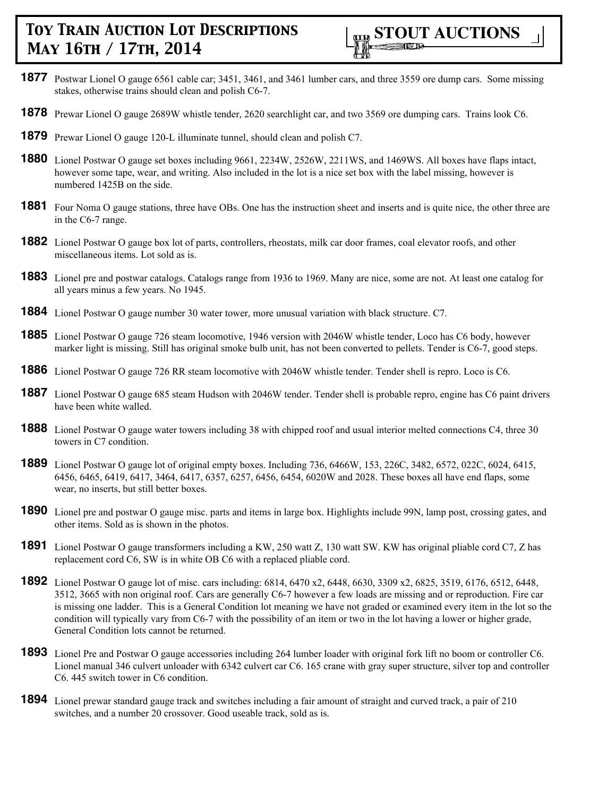

- **1877** Postwar Lionel O gauge 6561 cable car; 3451, 3461, and 3461 lumber cars, and three 3559 ore dump cars. Some missing stakes, otherwise trains should clean and polish C6-7.
- **1878** Prewar Lionel O gauge 2689W whistle tender, 2620 searchlight car, and two 3569 ore dumping cars. Trains look C6.
- **1879** Prewar Lionel O gauge 120-L illuminate tunnel, should clean and polish C7.
- **1880** Lionel Postwar O gauge set boxes including 9661, 2234W, 2526W, 2211WS, and 1469WS. All boxes have flaps intact, however some tape, wear, and writing. Also included in the lot is a nice set box with the label missing, however is numbered 1425B on the side.
- **1881** Four Noma O gauge stations, three have OBs. One has the instruction sheet and inserts and is quite nice, the other three are in the C6-7 range.
- **1882** Lionel Postwar O gauge box lot of parts, controllers, rheostats, milk car door frames, coal elevator roofs, and other miscellaneous items. Lot sold as is.
- **1883** Lionel pre and postwar catalogs. Catalogs range from 1936 to 1969. Many are nice, some are not. At least one catalog for all years minus a few years. No 1945.
- **1884** Lionel Postwar O gauge number 30 water tower, more unusual variation with black structure. C7.
- **1885** Lionel Postwar O gauge 726 steam locomotive, 1946 version with 2046W whistle tender, Loco has C6 body, however marker light is missing. Still has original smoke bulb unit, has not been converted to pellets. Tender is C6-7, good steps.
- **1886** Lionel Postwar O gauge 726 RR steam locomotive with 2046W whistle tender. Tender shell is repro. Loco is C6.
- **1887** Lionel Postwar O gauge 685 steam Hudson with 2046W tender. Tender shell is probable repro, engine has C6 paint drivers have been white walled.
- **1888** Lionel Postwar O gauge water towers including 38 with chipped roof and usual interior melted connections C4, three 30 towers in C7 condition.
- **1889** Lionel Postwar O gauge lot of original empty boxes. Including 736, 6466W, 153, 226C, 3482, 6572, 022C, 6024, 6415, 6456, 6465, 6419, 6417, 3464, 6417, 6357, 6257, 6456, 6454, 6020W and 2028. These boxes all have end flaps, some wear, no inserts, but still better boxes.
- **1890** Lionel pre and postwar O gauge misc. parts and items in large box. Highlights include 99N, lamp post, crossing gates, and other items. Sold as is shown in the photos.
- **1891** Lionel Postwar O gauge transformers including a KW, 250 watt Z, 130 watt SW. KW has original pliable cord C7, Z has replacement cord C6, SW is in white OB C6 with a replaced pliable cord.
- **1892** Lionel Postwar O gauge lot of misc. cars including: 6814, 6470 x2, 6448, 6630, 3309 x2, 6825, 3519, 6176, 6512, 6448, 3512, 3665 with non original roof. Cars are generally C6-7 however a few loads are missing and or reproduction. Fire car is missing one ladder. This is a General Condition lot meaning we have not graded or examined every item in the lot so the condition will typically vary from C6-7 with the possibility of an item or two in the lot having a lower or higher grade, General Condition lots cannot be returned.
- **1893** Lionel Pre and Postwar O gauge accessories including 264 lumber loader with original fork lift no boom or controller C6. Lionel manual 346 culvert unloader with 6342 culvert car C6. 165 crane with gray super structure, silver top and controller C6. 445 switch tower in C6 condition.
- **1894** Lionel prewar standard gauge track and switches including a fair amount of straight and curved track, a pair of 210 switches, and a number 20 crossover. Good useable track, sold as is.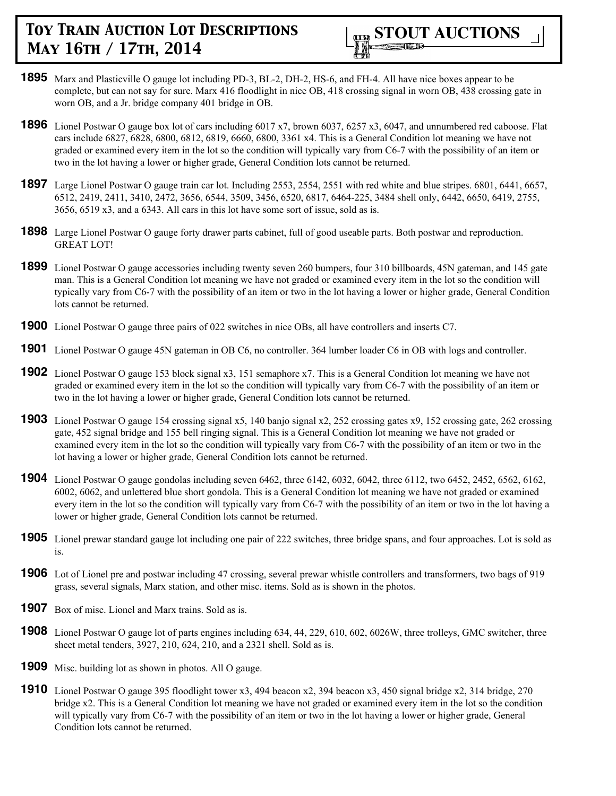

- **1895** Marx and Plasticville O gauge lot including PD-3, BL-2, DH-2, HS-6, and FH-4. All have nice boxes appear to be complete, but can not say for sure. Marx 416 floodlight in nice OB, 418 crossing signal in worn OB, 438 crossing gate in worn OB, and a Jr. bridge company 401 bridge in OB.
- **1896** Lionel Postwar O gauge box lot of cars including 6017 x7, brown 6037, 6257 x3, 6047, and unnumbered red caboose. Flat cars include 6827, 6828, 6800, 6812, 6819, 6660, 6800, 3361 x4. This is a General Condition lot meaning we have not graded or examined every item in the lot so the condition will typically vary from C6-7 with the possibility of an item or two in the lot having a lower or higher grade, General Condition lots cannot be returned.
- **1897** Large Lionel Postwar O gauge train car lot. Including 2553, 2554, 2551 with red white and blue stripes. 6801, 6441, 6657, 6512, 2419, 2411, 3410, 2472, 3656, 6544, 3509, 3456, 6520, 6817, 6464-225, 3484 shell only, 6442, 6650, 6419, 2755, 3656, 6519 x3, and a 6343. All cars in this lot have some sort of issue, sold as is.
- **1898** Large Lionel Postwar O gauge forty drawer parts cabinet, full of good useable parts. Both postwar and reproduction. GREAT LOT!
- **1899** Lionel Postwar O gauge accessories including twenty seven 260 bumpers, four 310 billboards, 45N gateman, and 145 gate man. This is a General Condition lot meaning we have not graded or examined every item in the lot so the condition will typically vary from C6-7 with the possibility of an item or two in the lot having a lower or higher grade, General Condition lots cannot be returned.
- **1900** Lionel Postwar O gauge three pairs of 022 switches in nice OBs, all have controllers and inserts C7.
- **1901** Lionel Postwar O gauge 45N gateman in OB C6, no controller. 364 lumber loader C6 in OB with logs and controller.
- **1902** Lionel Postwar O gauge 153 block signal x3, 151 semaphore x7. This is a General Condition lot meaning we have not graded or examined every item in the lot so the condition will typically vary from C6-7 with the possibility of an item or two in the lot having a lower or higher grade, General Condition lots cannot be returned.
- **1903** Lionel Postwar O gauge 154 crossing signal x5, 140 banjo signal x2, 252 crossing gates x9, 152 crossing gate, 262 crossing gate, 452 signal bridge and 155 bell ringing signal. This is a General Condition lot meaning we have not graded or examined every item in the lot so the condition will typically vary from C6-7 with the possibility of an item or two in the lot having a lower or higher grade, General Condition lots cannot be returned.
- **1904** Lionel Postwar O gauge gondolas including seven 6462, three 6142, 6032, 6042, three 6112, two 6452, 2452, 6562, 6162, 6002, 6062, and unlettered blue short gondola. This is a General Condition lot meaning we have not graded or examined every item in the lot so the condition will typically vary from C6-7 with the possibility of an item or two in the lot having a lower or higher grade, General Condition lots cannot be returned.
- **1905** Lionel prewar standard gauge lot including one pair of 222 switches, three bridge spans, and four approaches. Lot is sold as is.
- **1906** Lot of Lionel pre and postwar including 47 crossing, several prewar whistle controllers and transformers, two bags of 919 grass, several signals, Marx station, and other misc. items. Sold as is shown in the photos.
- **1907** Box of misc. Lionel and Marx trains. Sold as is.
- **1908** Lionel Postwar O gauge lot of parts engines including 634, 44, 229, 610, 602, 6026W, three trolleys, GMC switcher, three sheet metal tenders, 3927, 210, 624, 210, and a 2321 shell. Sold as is.
- **1909** Misc. building lot as shown in photos. All O gauge.
- **1910** Lionel Postwar O gauge 395 floodlight tower x3, 494 beacon x2, 394 beacon x3, 450 signal bridge x2, 314 bridge, 270 bridge x2. This is a General Condition lot meaning we have not graded or examined every item in the lot so the condition will typically vary from C6-7 with the possibility of an item or two in the lot having a lower or higher grade, General Condition lots cannot be returned.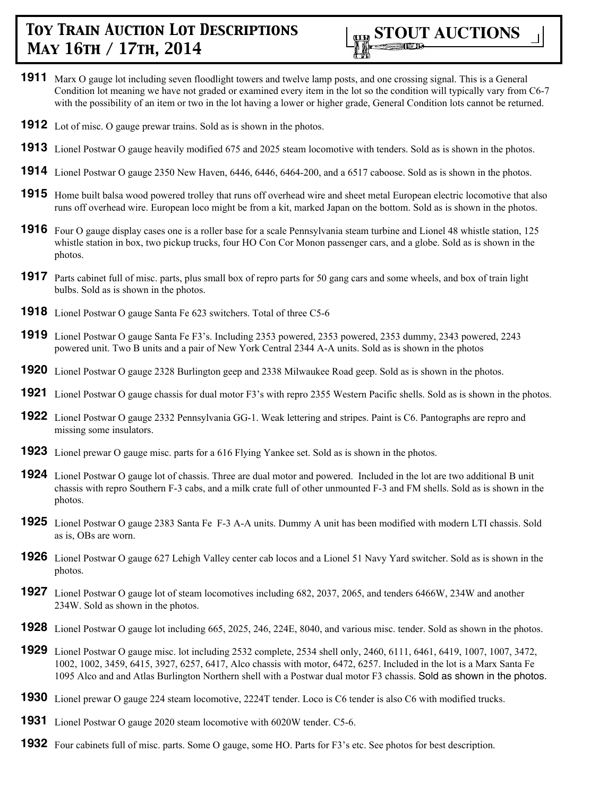

- **1911** Marx O gauge lot including seven floodlight towers and twelve lamp posts, and one crossing signal. This is a General Condition lot meaning we have not graded or examined every item in the lot so the condition will typically vary from C6-7 with the possibility of an item or two in the lot having a lower or higher grade, General Condition lots cannot be returned.
- **1912** Lot of misc. O gauge prewar trains. Sold as is shown in the photos.
- **1913** Lionel Postwar O gauge heavily modified 675 and 2025 steam locomotive with tenders. Sold as is shown in the photos.
- **1914** Lionel Postwar O gauge 2350 New Haven, 6446, 6446, 6464-200, and a 6517 caboose. Sold as is shown in the photos.
- **1915** Home built balsa wood powered trolley that runs off overhead wire and sheet metal European electric locomotive that also runs off overhead wire. European loco might be from a kit, marked Japan on the bottom. Sold as is shown in the photos.
- **1916** Four O gauge display cases one is a roller base for a scale Pennsylvania steam turbine and Lionel 48 whistle station, 125 whistle station in box, two pickup trucks, four HO Con Cor Monon passenger cars, and a globe. Sold as is shown in the photos.
- **1917** Parts cabinet full of misc. parts, plus small box of repro parts for 50 gang cars and some wheels, and box of train light bulbs. Sold as is shown in the photos.
- **1918** Lionel Postwar O gauge Santa Fe 623 switchers. Total of three C5-6
- **1919** Lionel Postwar O gauge Santa Fe F3's. Including 2353 powered, 2353 powered, 2353 dummy, 2343 powered, 2243 powered unit. Two B units and a pair of New York Central 2344 A-A units. Sold as is shown in the photos
- **1920** Lionel Postwar O gauge 2328 Burlington geep and 2338 Milwaukee Road geep. Sold as is shown in the photos.
- **1921** Lionel Postwar O gauge chassis for dual motor F3's with repro 2355 Western Pacific shells. Sold as is shown in the photos.
- **1922** Lionel Postwar O gauge 2332 Pennsylvania GG-1. Weak lettering and stripes. Paint is C6. Pantographs are repro and missing some insulators.
- **1923** Lionel prewar O gauge misc. parts for a 616 Flying Yankee set. Sold as is shown in the photos.
- **1924** Lionel Postwar O gauge lot of chassis. Three are dual motor and powered. Included in the lot are two additional B unit chassis with repro Southern F-3 cabs, and a milk crate full of other unmounted F-3 and FM shells. Sold as is shown in the photos.
- **1925** Lionel Postwar O gauge 2383 Santa Fe F-3 A-A units. Dummy A unit has been modified with modern LTI chassis. Sold as is, OBs are worn.
- **1926** Lionel Postwar O gauge 627 Lehigh Valley center cab locos and a Lionel 51 Navy Yard switcher. Sold as is shown in the photos.
- **1927** Lionel Postwar O gauge lot of steam locomotives including 682, 2037, 2065, and tenders 6466W, 234W and another 234W. Sold as shown in the photos.
- **1928** Lionel Postwar O gauge lot including 665, 2025, 246, 224E, 8040, and various misc. tender. Sold as shown in the photos.
- **1929** Lionel Postwar O gauge misc. lot including 2532 complete, 2534 shell only, 2460, 6111, 6461, 6419, 1007, 1007, 3472, 1002, 1002, 3459, 6415, 3927, 6257, 6417, Alco chassis with motor, 6472, 6257. Included in the lot is a Marx Santa Fe 1095 Alco and and Atlas Burlington Northern shell with a Postwar dual motor F3 chassis. Sold as shown in the photos.
- **1930** Lionel prewar O gauge 224 steam locomotive, 2224T tender. Loco is C6 tender is also C6 with modified trucks.
- **1931** Lionel Postwar O gauge 2020 steam locomotive with 6020W tender. C5-6.
- **1932** Four cabinets full of misc. parts. Some O gauge, some HO. Parts for F3's etc. See photos for best description.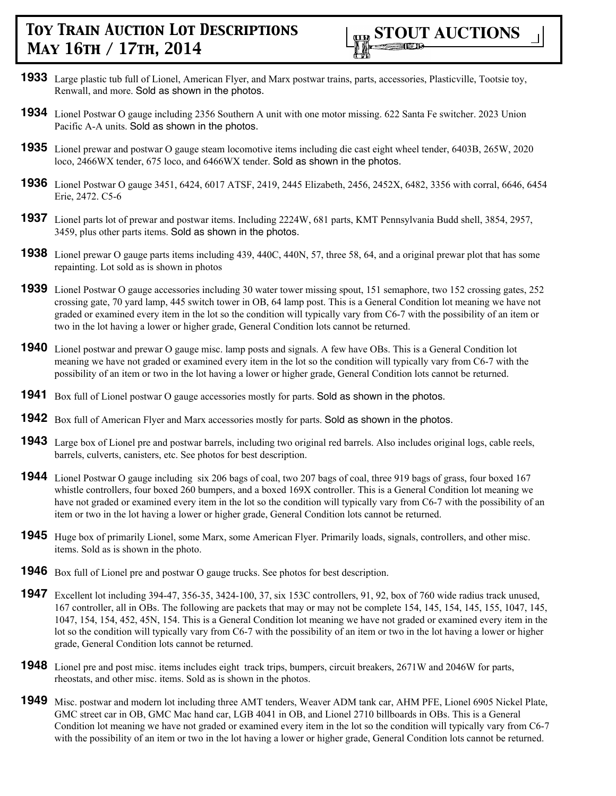- **1933** Large plastic tub full of Lionel, American Flyer, and Marx postwar trains, parts, accessories, Plasticville, Tootsie toy, Renwall, and more. Sold as shown in the photos.
- **1934** Lionel Postwar O gauge including 2356 Southern A unit with one motor missing. 622 Santa Fe switcher. 2023 Union Pacific A-A units. Sold as shown in the photos.
- **1935** Lionel prewar and postwar O gauge steam locomotive items including die cast eight wheel tender, 6403B, 265W, 2020 loco, 2466WX tender, 675 loco, and 6466WX tender. Sold as shown in the photos.
- **1936** Lionel Postwar O gauge 3451, 6424, 6017 ATSF, 2419, 2445 Elizabeth, 2456, 2452X, 6482, 3356 with corral, 6646, 6454 Erie, 2472. C5-6
- **1937** Lionel parts lot of prewar and postwar items. Including 2224W, 681 parts, KMT Pennsylvania Budd shell, 3854, 2957, 3459, plus other parts items. Sold as shown in the photos.
- **1938** Lionel prewar O gauge parts items including 439, 440C, 440N, 57, three 58, 64, and a original prewar plot that has some repainting. Lot sold as is shown in photos
- **1939** Lionel Postwar O gauge accessories including 30 water tower missing spout, 151 semaphore, two 152 crossing gates, 252 crossing gate, 70 yard lamp, 445 switch tower in OB, 64 lamp post. This is a General Condition lot meaning we have not graded or examined every item in the lot so the condition will typically vary from C6-7 with the possibility of an item or two in the lot having a lower or higher grade, General Condition lots cannot be returned.
- **1940** Lionel postwar and prewar O gauge misc. lamp posts and signals. A few have OBs. This is a General Condition lot meaning we have not graded or examined every item in the lot so the condition will typically vary from C6-7 with the possibility of an item or two in the lot having a lower or higher grade, General Condition lots cannot be returned.
- **1941** Box full of Lionel postwar O gauge accessories mostly for parts. Sold as shown in the photos.
- **1942** Box full of American Flyer and Marx accessories mostly for parts. Sold as shown in the photos.
- **1943** Large box of Lionel pre and postwar barrels, including two original red barrels. Also includes original logs, cable reels, barrels, culverts, canisters, etc. See photos for best description.
- **1944** Lionel Postwar O gauge including six 206 bags of coal, two 207 bags of coal, three 919 bags of grass, four boxed 167 whistle controllers, four boxed 260 bumpers, and a boxed 169X controller. This is a General Condition lot meaning we have not graded or examined every item in the lot so the condition will typically vary from C6-7 with the possibility of an item or two in the lot having a lower or higher grade, General Condition lots cannot be returned.
- **1945** Huge box of primarily Lionel, some Marx, some American Flyer. Primarily loads, signals, controllers, and other misc. items. Sold as is shown in the photo.
- **1946** Box full of Lionel pre and postwar O gauge trucks. See photos for best description.
- **1947** Excellent lot including 394-47, 356-35, 3424-100, 37, six 153C controllers, 91, 92, box of 760 wide radius track unused, 167 controller, all in OBs. The following are packets that may or may not be complete 154, 145, 154, 145, 155, 1047, 145, 1047, 154, 154, 452, 45N, 154. This is a General Condition lot meaning we have not graded or examined every item in the lot so the condition will typically vary from C6-7 with the possibility of an item or two in the lot having a lower or higher grade, General Condition lots cannot be returned.
- **1948** Lionel pre and post misc. items includes eight track trips, bumpers, circuit breakers, 2671W and 2046W for parts, rheostats, and other misc. items. Sold as is shown in the photos.
- **1949** Misc. postwar and modern lot including three AMT tenders, Weaver ADM tank car, AHM PFE, Lionel 6905 Nickel Plate, GMC street car in OB, GMC Mac hand car, LGB 4041 in OB, and Lionel 2710 billboards in OBs. This is a General Condition lot meaning we have not graded or examined every item in the lot so the condition will typically vary from C6-7 with the possibility of an item or two in the lot having a lower or higher grade, General Condition lots cannot be returned.